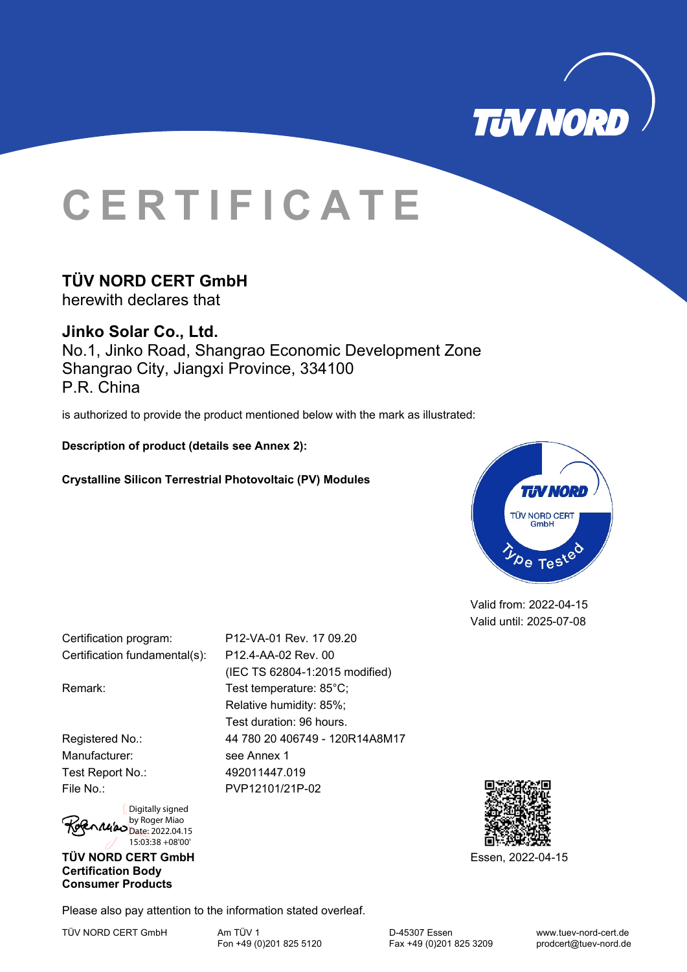

# **CERTIFICATE**

## **TÜV NORD CERT GmbH**

herewith declares that

**Jinko Solar Co., Ltd.**  No.1, Jinko Road, Shangrao Economic Development Zone Shangrao City, Jiangxi Province, 334100 P.R. China

is authorized to provide the product mentioned below with the mark as illustrated:

**Description of product (details see Annex 2):** 

## **Crystalline Silicon Terrestrial Photovoltaic (PV) Modules**



Valid from: 2022-04-15 Valid until: 2025-07-08

Certification program: P12-VA-01 Rev. 17 09.20 Certification fundamental(s): P12.4-AA-02 Rev. 00

Manufacturer: see Annex 1 Test Report No.: 492011447.019

> Digitally signed by Roger Miao  $N$  $\mu'$ 20  $D$ ate: 2022.04.15 15:03:38 +08'00'

## **TÜV NORD CERT GmbH** Essen, 2022-04-15 **Certification Body Consumer Products**

(IEC TS 62804-1:2015 modified) Remark: Test temperature: 85°C; Relative humidity: 85%; Test duration: 96 hours. Registered No.: 44 780 20 406749 - 120R14A8M17 File No.: PVP12101/21P-02



Please also pay attention to the information stated overleaf.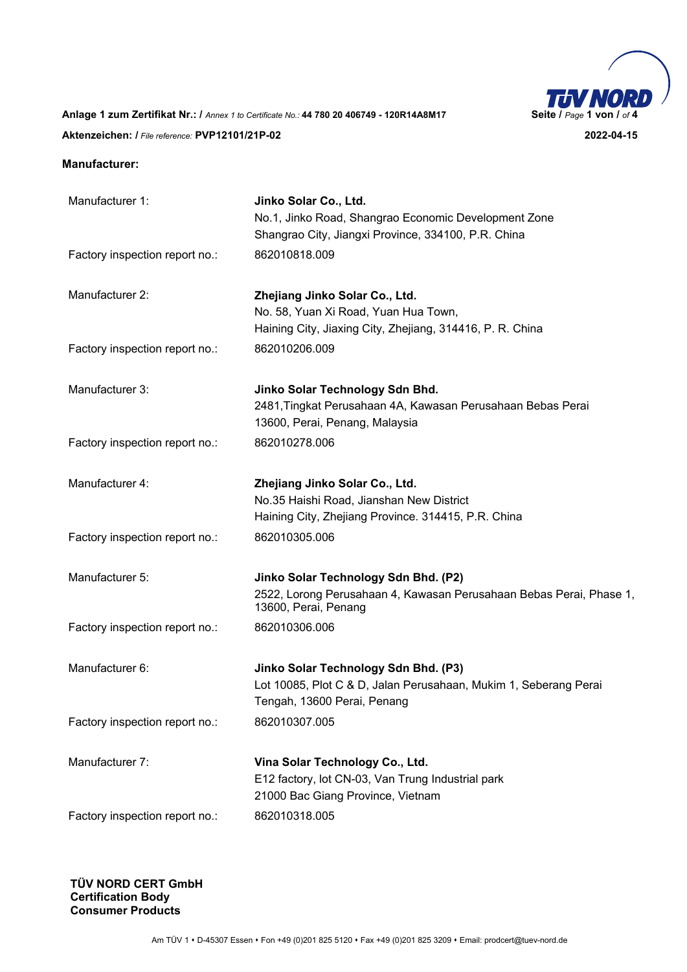

**Anlage 1 zum Zertifikat Nr.: /** *Annex 1 to Certificate No.:* **44 780 20 406749 - 120R14A8M17 Seite /** *Page* **1 von /** *of* **4 Aktenzeichen: /** *File reference:* **PVP12101/21P-02 2022-04-15** 

#### **Manufacturer:**

| Manufacturer 1:                                                                                 | Jinko Solar Co., Ltd.<br>No.1, Jinko Road, Shangrao Economic Development Zone<br>Shangrao City, Jiangxi Province, 334100, P.R. China    |
|-------------------------------------------------------------------------------------------------|-----------------------------------------------------------------------------------------------------------------------------------------|
| Factory inspection report no.:                                                                  | 862010818.009                                                                                                                           |
| Manufacturer 2:                                                                                 | Zhejiang Jinko Solar Co., Ltd.<br>No. 58, Yuan Xi Road, Yuan Hua Town,<br>Haining City, Jiaxing City, Zhejiang, 314416, P. R. China     |
| Factory inspection report no.:                                                                  | 862010206.009                                                                                                                           |
| Manufacturer 3:                                                                                 | Jinko Solar Technology Sdn Bhd.<br>2481, Tingkat Perusahaan 4A, Kawasan Perusahaan Bebas Perai<br>13600, Perai, Penang, Malaysia        |
| Factory inspection report no.:                                                                  | 862010278.006                                                                                                                           |
| Manufacturer 4:                                                                                 | Zhejiang Jinko Solar Co., Ltd.<br>No.35 Haishi Road, Jianshan New District<br>Haining City, Zhejiang Province. 314415, P.R. China       |
| Factory inspection report no.:                                                                  | 862010305.006                                                                                                                           |
| Manufacturer 5:                                                                                 | Jinko Solar Technology Sdn Bhd. (P2)<br>2522, Lorong Perusahaan 4, Kawasan Perusahaan Bebas Perai, Phase 1,<br>13600, Perai, Penang     |
| Factory inspection report no.:                                                                  | 862010306.006                                                                                                                           |
| Manufacturer 6:                                                                                 | Jinko Solar Technology Sdn Bhd. (P3)<br>Lot 10085, Plot C & D, Jalan Perusahaan, Mukim 1, Seberang Perai<br>Tengah, 13600 Perai, Penang |
| Factory inspection report no.:                                                                  | 862010307.005                                                                                                                           |
| Manufacturer 7:                                                                                 | Vina Solar Technology Co., Ltd.<br>E12 factory, lot CN-03, Van Trung Industrial park<br>21000 Bac Giang Province, Vietnam               |
| Factory inspection report no.:                                                                  | 862010318.005                                                                                                                           |
| Digitally signed<br>by Roger Miao<br>Date: 2022.04.15<br>15:03:55 +08'00'<br>TÜV NORD CERT GmbH |                                                                                                                                         |
| <b>Certification Body</b><br><b>Consumer Products</b>                                           |                                                                                                                                         |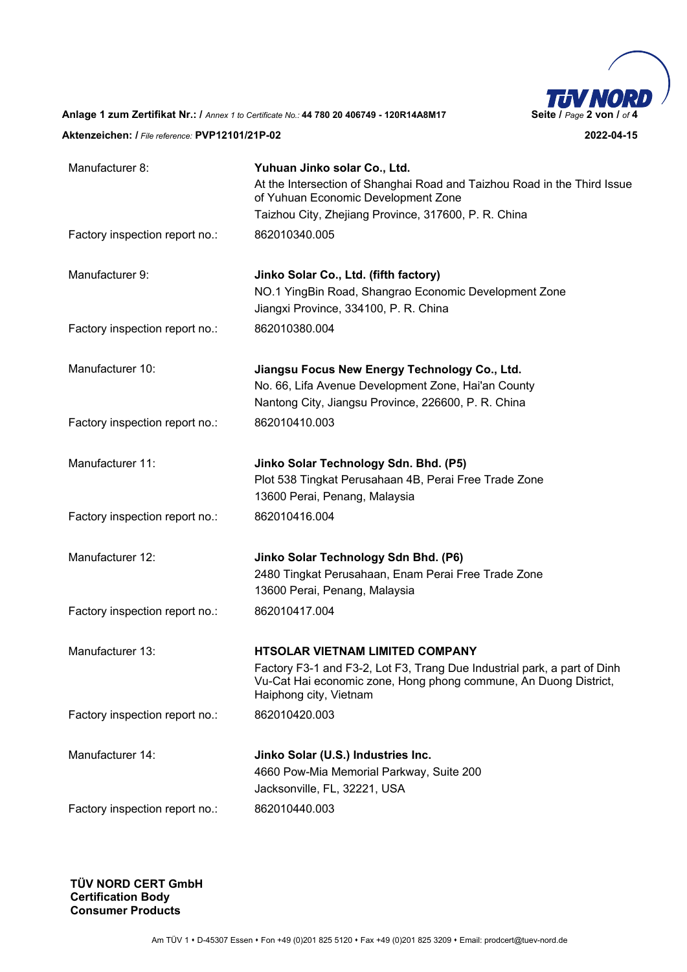

| Manufacturer 8:                                                           | Yuhuan Jinko solar Co., Ltd.                                                                                                                                                                                     |
|---------------------------------------------------------------------------|------------------------------------------------------------------------------------------------------------------------------------------------------------------------------------------------------------------|
|                                                                           | At the Intersection of Shanghai Road and Taizhou Road in the Third Issue<br>of Yuhuan Economic Development Zone                                                                                                  |
|                                                                           | Taizhou City, Zhejiang Province, 317600, P. R. China                                                                                                                                                             |
| Factory inspection report no.:                                            | 862010340.005                                                                                                                                                                                                    |
| Manufacturer 9:                                                           | Jinko Solar Co., Ltd. (fifth factory)<br>NO.1 YingBin Road, Shangrao Economic Development Zone<br>Jiangxi Province, 334100, P. R. China                                                                          |
| Factory inspection report no.:                                            | 862010380.004                                                                                                                                                                                                    |
| Manufacturer 10:                                                          | Jiangsu Focus New Energy Technology Co., Ltd.<br>No. 66, Lifa Avenue Development Zone, Hai'an County<br>Nantong City, Jiangsu Province, 226600, P. R. China                                                      |
| Factory inspection report no.:                                            | 862010410.003                                                                                                                                                                                                    |
| Manufacturer 11:                                                          | Jinko Solar Technology Sdn. Bhd. (P5)<br>Plot 538 Tingkat Perusahaan 4B, Perai Free Trade Zone<br>13600 Perai, Penang, Malaysia                                                                                  |
| Factory inspection report no.:                                            | 862010416.004                                                                                                                                                                                                    |
| Manufacturer 12:                                                          | Jinko Solar Technology Sdn Bhd. (P6)<br>2480 Tingkat Perusahaan, Enam Perai Free Trade Zone<br>13600 Perai, Penang, Malaysia                                                                                     |
| Factory inspection report no.:                                            | 862010417.004                                                                                                                                                                                                    |
| Manufacturer 13:                                                          | <b>HTSOLAR VIETNAM LIMITED COMPANY</b><br>Factory F3-1 and F3-2, Lot F3, Trang Due Industrial park, a part of Dinh<br>Vu-Cat Hai economic zone, Hong phong commune, An Duong District,<br>Haiphong city, Vietnam |
| Factory inspection report no.:                                            | 862010420.003                                                                                                                                                                                                    |
| Manufacturer 14:                                                          | Jinko Solar (U.S.) Industries Inc.<br>4660 Pow-Mia Memorial Parkway, Suite 200<br>Jacksonville, FL, 32221, USA                                                                                                   |
| Factory inspection report no.:                                            | 862010440.003                                                                                                                                                                                                    |
| Digitally signed<br>by Roger Miao<br>Date: 2022.04.15<br>15:05:25 +08'00' |                                                                                                                                                                                                                  |
| TÜV NORD CERT GmbH                                                        |                                                                                                                                                                                                                  |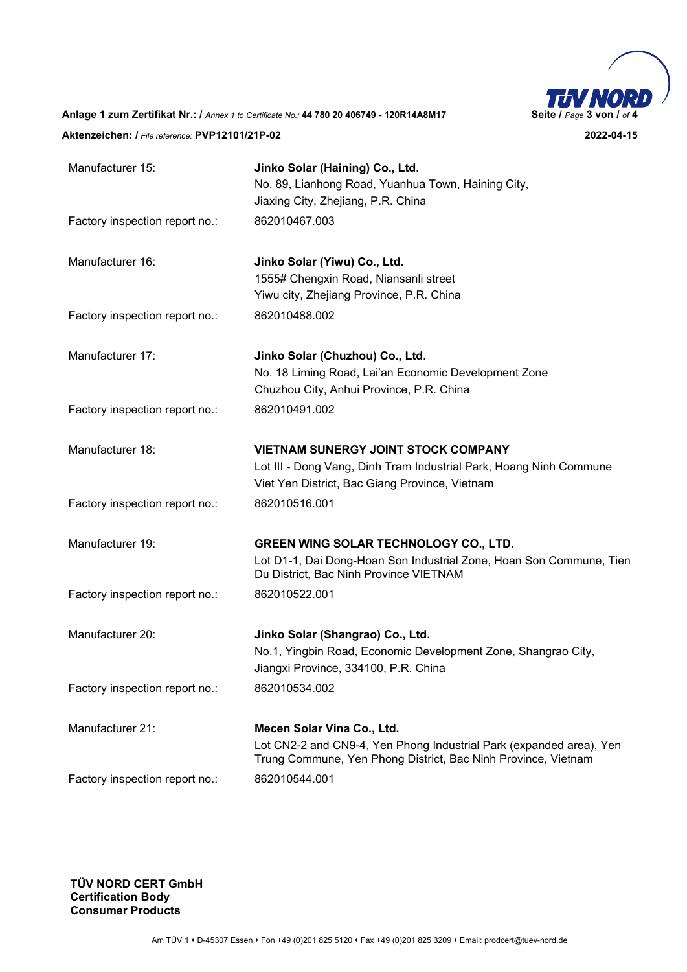

**Anlage 1 zum Zertifikat Nr.: /** *Annex 1 to Certificate No.:* **44 780 20 406749 - 120R14A8M17 Seite /** *Page* **3 von /** *of* **4 Aktenzeichen: /** *File reference:* **PVP12101/21P-02 2022-04-15** 

Manufacturer 15: **Jinko Solar (Haining) Co., Ltd.**  No. 89, Lianhong Road, Yuanhua Town, Haining City, Jiaxing City, Zhejiang, P.R. China Factory inspection report no.: 862010467.003 Manufacturer 16: **Jinko Solar (Yiwu) Co., Ltd.**  1555# Chengxin Road, Niansanli street Yiwu city, Zhejiang Province, P.R. China Factory inspection report no.: 862010488.002 Manufacturer 17: **Jinko Solar (Chuzhou) Co., Ltd.**  No. 18 Liming Road, Lai'an Economic Development Zone Chuzhou City, Anhui Province, P.R. China Factory inspection report no.: 862010491.002 Manufacturer 18: **VIETNAM SUNERGY JOINT STOCK COMPANY**  Lot III - Dong Vang, Dinh Tram Industrial Park, Hoang Ninh Commune Viet Yen District, Bac Giang Province, Vietnam Factory inspection report no.: 862010516.001 Manufacturer 19: **GREEN WING SOLAR TECHNOLOGY CO., LTD.**  Lot D1-1, Dai Dong-Hoan Son Industrial Zone, Hoan Son Commune, Tien Du District, Bac Ninh Province VIETNAM Factory inspection report no.: 862010522.001 Manufacturer 20: **Jinko Solar (Shangrao) Co., Ltd.**  No.1, Yingbin Road, Economic Development Zone, Shangrao City, Jiangxi Province, 334100, P.R. China Factory inspection report no.: 862010534.002 Manufacturer 21: **Mecen Solar Vina Co., Ltd.**  Lot CN2-2 and CN9-4, Yen Phong Industrial Park (expanded area), Yen Trung Commune, Yen Phong District, Bac Ninh Province, Vietnam Factory inspection report no.: 862010544.001

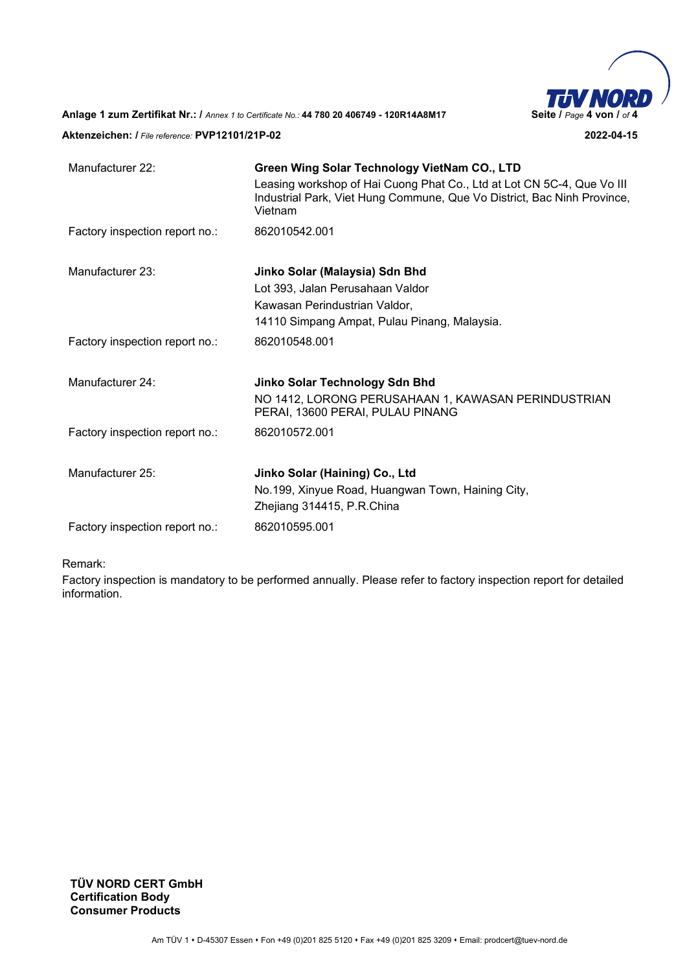

**Anlage 1 zum Zertifikat Nr.: /** *Annex 1 to Certificate No.:* **44 780 20 406749 - 120R14A8M17 Seite /** *Page* **4 von /** *of* **4** 

## **Aktenzeichen: /** *File reference:* **PVP12101/21P-02 2022-04-15**

| Manufacturer 22:               | Green Wing Solar Technology VietNam CO., LTD                                                                                                                 |
|--------------------------------|--------------------------------------------------------------------------------------------------------------------------------------------------------------|
|                                | Leasing workshop of Hai Cuong Phat Co., Ltd at Lot CN 5C-4, Que Vo III<br>Industrial Park, Viet Hung Commune, Que Vo District, Bac Ninh Province,<br>Vietnam |
| Factory inspection report no.: | 862010542.001                                                                                                                                                |
| Manufacturer 23:               | Jinko Solar (Malaysia) Sdn Bhd                                                                                                                               |
|                                | Lot 393, Jalan Perusahaan Valdor                                                                                                                             |
|                                | Kawasan Perindustrian Valdor,                                                                                                                                |
|                                | 14110 Simpang Ampat, Pulau Pinang, Malaysia.                                                                                                                 |
| Factory inspection report no.: | 862010548.001                                                                                                                                                |
| Manufacturer 24:               | Jinko Solar Technology Sdn Bhd                                                                                                                               |
|                                | NO 1412, LORONG PERUSAHAAN 1, KAWASAN PERINDUSTRIAN<br>PERAI, 13600 PERAI, PULAU PINANG                                                                      |
| Factory inspection report no.: | 862010572.001                                                                                                                                                |
| Manufacturer 25:               | Jinko Solar (Haining) Co., Ltd                                                                                                                               |
|                                | No.199, Xinyue Road, Huangwan Town, Haining City,                                                                                                            |
|                                | Zhejiang 314415, P.R.China                                                                                                                                   |
| Factory inspection report no.: | 862010595.001                                                                                                                                                |
|                                |                                                                                                                                                              |

#### Remark:

Factory inspection is mandatory to be performed annually. Please refer to factory inspection report for detailed information.

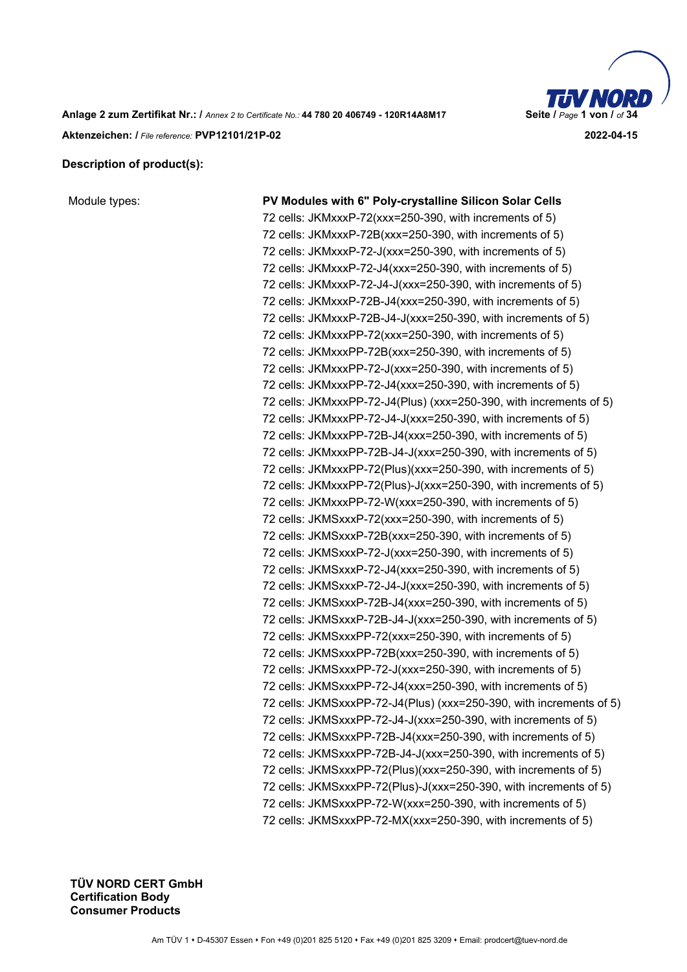

**Anlage 2 zum Zertifikat Nr.: /** *Annex 2 to Certificate No.:* **44 780 20 406749 - 120R14A8M17 Seite /** *Page* **1 von /** *of* **34 Aktenzeichen: /** *File reference:* **PVP12101/21P-02 2022-04-15** 

## **Description of product(s):**

Module types: **PV Modules with 6" Poly-crystalline Silicon Solar Cells**  72 cells: JKMxxxP-72(xxx=250-390, with increments of 5) 72 cells: JKMxxxP-72B(xxx=250-390, with increments of 5) 72 cells: JKMxxxP-72-J(xxx=250-390, with increments of 5) 72 cells: JKMxxxP-72-J4(xxx=250-390, with increments of 5) 72 cells: JKMxxxP-72-J4-J(xxx=250-390, with increments of 5) 72 cells: JKMxxxP-72B-J4(xxx=250-390, with increments of 5) 72 cells: JKMxxxP-72B-J4-J(xxx=250-390, with increments of 5) 72 cells: JKMxxxPP-72(xxx=250-390, with increments of 5) 72 cells: JKMxxxPP-72B(xxx=250-390, with increments of 5) 72 cells: JKMxxxPP-72-J(xxx=250-390, with increments of 5) 72 cells: JKMxxxPP-72-J4(xxx=250-390, with increments of 5) 72 cells: JKMxxxPP-72-J4(Plus) (xxx=250-390, with increments of 5) 72 cells: JKMxxxPP-72-J4-J(xxx=250-390, with increments of 5) 72 cells: JKMxxxPP-72B-J4(xxx=250-390, with increments of 5) 72 cells: JKMxxxPP-72B-J4-J(xxx=250-390, with increments of 5) 72 cells: JKMxxxPP-72(Plus)(xxx=250-390, with increments of 5) 72 cells: JKMxxxPP-72(Plus)-J(xxx=250-390, with increments of 5) 72 cells: JKMxxxPP-72-W(xxx=250-390, with increments of 5) 72 cells: JKMSxxxP-72(xxx=250-390, with increments of 5) 72 cells: JKMSxxxP-72B(xxx=250-390, with increments of 5) 72 cells: JKMSxxxP-72-J(xxx=250-390, with increments of 5) 72 cells: JKMSxxxP-72-J4(xxx=250-390, with increments of 5) 72 cells: JKMSxxxP-72-J4-J(xxx=250-390, with increments of 5) 72 cells: JKMSxxxP-72B-J4(xxx=250-390, with increments of 5) 72 cells: JKMSxxxP-72B-J4-J(xxx=250-390, with increments of 5) 72 cells: JKMSxxxPP-72(xxx=250-390, with increments of 5) 72 cells: JKMSxxxPP-72B(xxx=250-390, with increments of 5) 72 cells: JKMSxxxPP-72-J(xxx=250-390, with increments of 5) 72 cells: JKMSxxxPP-72-J4(xxx=250-390, with increments of 5) 72 cells: JKMSxxxPP-72-J4(Plus) (xxx=250-390, with increments of 5) 72 cells: JKMSxxxPP-72-J4-J(xxx=250-390, with increments of 5) 72 cells: JKMSxxxPP-72B-J4(xxx=250-390, with increments of 5) 72 cells: JKMSxxxPP-72B-J4-J(xxx=250-390, with increments of 5) 72 cells: JKMSxxxPP-72(Plus)(xxx=250-390, with increments of 5) 72 cells: JKMSxxxPP-72(Plus)-J(xxx=250-390, with increments of 5) 72 cells: JKMSxxxPP-72-W(xxx=250-390, with increments of 5) 72 cells: JKMSxxxPP-72-MX(xxx=250-390, with increments of 5)

Digitally signed by Roger Miao  $\ell$ 15:06:26 +08'00'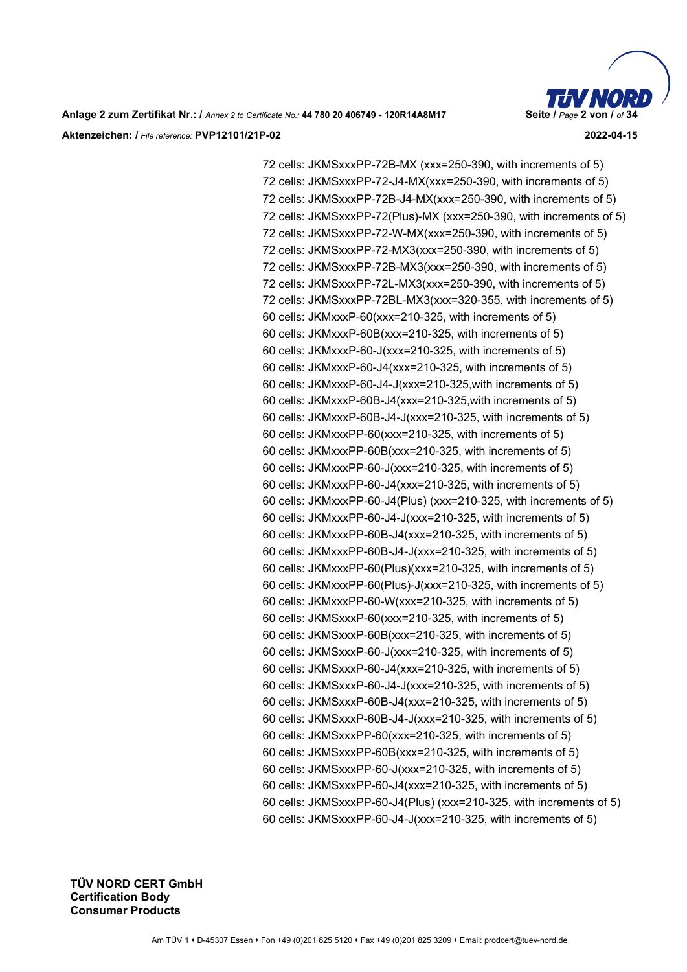

72 cells: JKMSxxxPP-72B-MX (xxx=250-390, with increments of 5) 72 cells: JKMSxxxPP-72-J4-MX(xxx=250-390, with increments of 5) 72 cells: JKMSxxxPP-72B-J4-MX(xxx=250-390, with increments of 5) 72 cells: JKMSxxxPP-72(Plus)-MX (xxx=250-390, with increments of 5) 72 cells: JKMSxxxPP-72-W-MX(xxx=250-390, with increments of 5) 72 cells: JKMSxxxPP-72-MX3(xxx=250-390, with increments of 5) 72 cells: JKMSxxxPP-72B-MX3(xxx=250-390, with increments of 5) 72 cells: JKMSxxxPP-72L-MX3(xxx=250-390, with increments of 5) 72 cells: JKMSxxxPP-72BL-MX3(xxx=320-355, with increments of 5) 60 cells: JKMxxxP-60(xxx=210-325, with increments of 5) 60 cells: JKMxxxP-60B(xxx=210-325, with increments of 5) 60 cells: JKMxxxP-60-J(xxx=210-325, with increments of 5) 60 cells: JKMxxxP-60-J4(xxx=210-325, with increments of 5) 60 cells: JKMxxxP-60-J4-J(xxx=210-325,with increments of 5) 60 cells: JKMxxxP-60B-J4(xxx=210-325,with increments of 5) 60 cells: JKMxxxP-60B-J4-J(xxx=210-325, with increments of 5) 60 cells: JKMxxxPP-60(xxx=210-325, with increments of 5) 60 cells: JKMxxxPP-60B(xxx=210-325, with increments of 5) 60 cells: JKMxxxPP-60-J(xxx=210-325, with increments of 5) 60 cells: JKMxxxPP-60-J4(xxx=210-325, with increments of 5) 60 cells: JKMxxxPP-60-J4(Plus) (xxx=210-325, with increments of 5) 60 cells: JKMxxxPP-60-J4-J(xxx=210-325, with increments of 5) 60 cells: JKMxxxPP-60B-J4(xxx=210-325, with increments of 5) 60 cells: JKMxxxPP-60B-J4-J(xxx=210-325, with increments of 5) 60 cells: JKMxxxPP-60(Plus)(xxx=210-325, with increments of 5) 60 cells: JKMxxxPP-60(Plus)-J(xxx=210-325, with increments of 5) 60 cells: JKMxxxPP-60-W(xxx=210-325, with increments of 5) 60 cells: JKMSxxxP-60(xxx=210-325, with increments of 5) 60 cells: JKMSxxxP-60B(xxx=210-325, with increments of 5) 60 cells: JKMSxxxP-60-J(xxx=210-325, with increments of 5) 60 cells: JKMSxxxP-60-J4(xxx=210-325, with increments of 5) 60 cells: JKMSxxxP-60-J4-J(xxx=210-325, with increments of 5) 60 cells: JKMSxxxP-60B-J4(xxx=210-325, with increments of 5) 60 cells: JKMSxxxP-60B-J4-J(xxx=210-325, with increments of 5) 60 cells: JKMSxxxPP-60(xxx=210-325, with increments of 5) 60 cells: JKMSxxxPP-60B(xxx=210-325, with increments of 5) 60 cells: JKMSxxxPP-60-J(xxx=210-325, with increments of 5) 60 cells: JKMSxxxPP-60-J4(xxx=210-325, with increments of 5) 60 cells: JKMSxxxPP-60-J4(Plus) (xxx=210-325, with increments of 5) 60 cells: JKMSxxxPP-60-J4-J(xxx=210-325, with increments of 5)

Digitally signed by Roger Miao  $\Lambda$ llas Date: 2022.04.15 15:06:43 +08'00'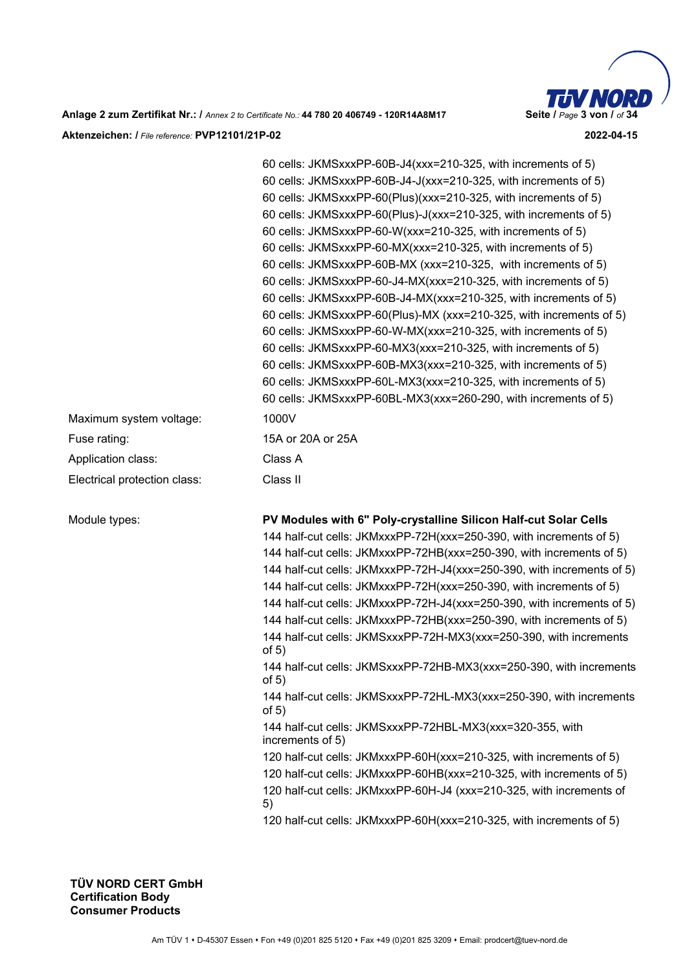

|                                                                             | 60 cells: JKMSxxxPP-60B-J4(xxx=210-325, with increments of 5)<br>60 cells: JKMSxxxPP-60B-J4-J(xxx=210-325, with increments of 5)<br>60 cells: JKMSxxxPP-60(Plus)(xxx=210-325, with increments of 5)<br>60 cells: JKMSxxxPP-60(Plus)-J(xxx=210-325, with increments of 5)<br>60 cells: JKMSxxxPP-60-W(xxx=210-325, with increments of 5)<br>60 cells: JKMSxxxPP-60-MX(xxx=210-325, with increments of 5)<br>60 cells: JKMSxxxPP-60B-MX (xxx=210-325, with increments of 5)<br>60 cells: JKMSxxxPP-60-J4-MX(xxx=210-325, with increments of 5)<br>60 cells: JKMSxxxPP-60B-J4-MX(xxx=210-325, with increments of 5)<br>60 cells: JKMSxxxPP-60(Plus)-MX (xxx=210-325, with increments of 5)<br>60 cells: JKMSxxxPP-60-W-MX(xxx=210-325, with increments of 5)<br>60 cells: JKMSxxxPP-60-MX3(xxx=210-325, with increments of 5)<br>60 cells: JKMSxxxPP-60B-MX3(xxx=210-325, with increments of 5)<br>60 cells: JKMSxxxPP-60L-MX3(xxx=210-325, with increments of 5)<br>60 cells: JKMSxxxPP-60BL-MX3(xxx=260-290, with increments of 5)                                                                                                                            |
|-----------------------------------------------------------------------------|--------------------------------------------------------------------------------------------------------------------------------------------------------------------------------------------------------------------------------------------------------------------------------------------------------------------------------------------------------------------------------------------------------------------------------------------------------------------------------------------------------------------------------------------------------------------------------------------------------------------------------------------------------------------------------------------------------------------------------------------------------------------------------------------------------------------------------------------------------------------------------------------------------------------------------------------------------------------------------------------------------------------------------------------------------------------------------------------------------------------------------------------------------------|
| Maximum system voltage:                                                     | 1000V                                                                                                                                                                                                                                                                                                                                                                                                                                                                                                                                                                                                                                                                                                                                                                                                                                                                                                                                                                                                                                                                                                                                                        |
| Fuse rating:                                                                | 15A or 20A or 25A                                                                                                                                                                                                                                                                                                                                                                                                                                                                                                                                                                                                                                                                                                                                                                                                                                                                                                                                                                                                                                                                                                                                            |
| Application class:                                                          | Class A                                                                                                                                                                                                                                                                                                                                                                                                                                                                                                                                                                                                                                                                                                                                                                                                                                                                                                                                                                                                                                                                                                                                                      |
| Electrical protection class:                                                | Class II                                                                                                                                                                                                                                                                                                                                                                                                                                                                                                                                                                                                                                                                                                                                                                                                                                                                                                                                                                                                                                                                                                                                                     |
| Module types:<br>Digitally signed                                           | PV Modules with 6" Poly-crystalline Silicon Half-cut Solar Cells<br>144 half-cut cells: JKMxxxPP-72H(xxx=250-390, with increments of 5)<br>144 half-cut cells: JKMxxxPP-72HB(xxx=250-390, with increments of 5)<br>144 half-cut cells: JKMxxxPP-72H-J4(xxx=250-390, with increments of 5)<br>144 half-cut cells: JKMxxxPP-72H(xxx=250-390, with increments of 5)<br>144 half-cut cells: JKMxxxPP-72H-J4(xxx=250-390, with increments of 5)<br>144 half-cut cells: JKMxxxPP-72HB(xxx=250-390, with increments of 5)<br>144 half-cut cells: JKMSxxxPP-72H-MX3(xxx=250-390, with increments<br>of $5)$<br>144 half-cut cells: JKMSxxxPP-72HB-MX3(xxx=250-390, with increments<br>of $5)$<br>144 half-cut cells: JKMSxxxPP-72HL-MX3(xxx=250-390, with increments<br>of $5)$<br>144 half-cut cells: JKMSxxxPP-72HBL-MX3(xxx=320-355, with<br>increments of 5)<br>120 half-cut cells: JKMxxxPP-60H(xxx=210-325, with increments of 5)<br>120 half-cut cells: JKMxxxPP-60HB(xxx=210-325, with increments of 5)<br>120 half-cut cells: JKMxxxPP-60H-J4 (xxx=210-325, with increments of<br>5)<br>120 half-cut cells: JKMxxxPP-60H(xxx=210-325, with increments of 5) |
| by Roger Miao<br>Date: 2022.04.15<br>15:07:20 +08'00'<br>TÜV NOPD CEPT CmhH |                                                                                                                                                                                                                                                                                                                                                                                                                                                                                                                                                                                                                                                                                                                                                                                                                                                                                                                                                                                                                                                                                                                                                              |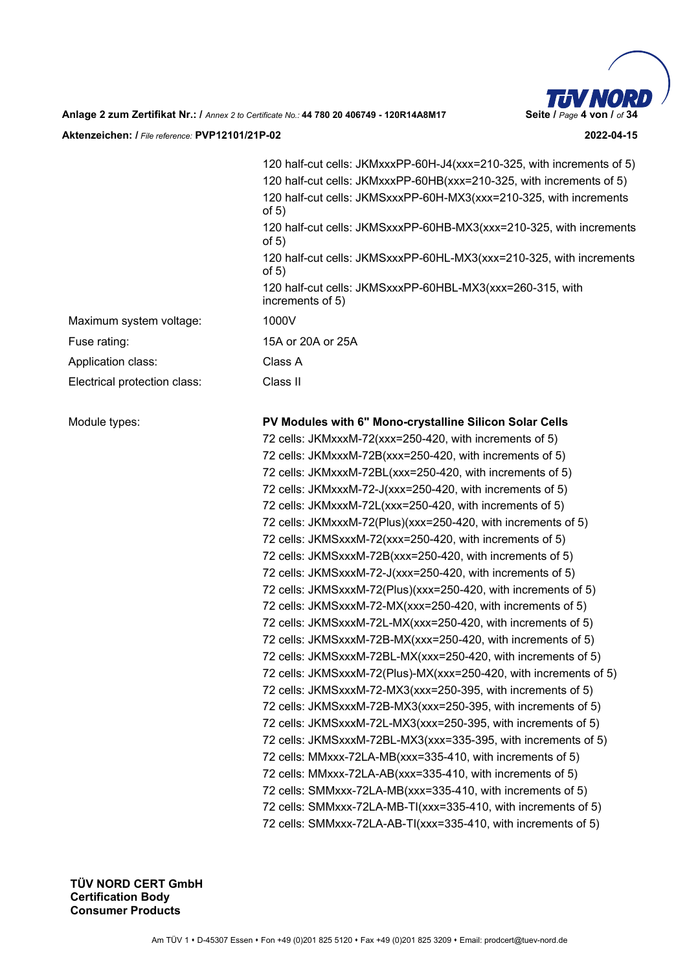

120 half-cut cells: JKMxxxPP-60H-J4(xxx=210-325, with increments of 5) 120 half-cut cells: JKMxxxPP-60HB(xxx=210-325, with increments of 5) 120 half-cut cells: JKMSxxxPP-60H-MX3(xxx=210-325, with increments of 5) 120 half-cut cells: JKMSxxxPP-60HB-MX3(xxx=210-325, with increments of 5) 120 half-cut cells: JKMSxxxPP-60HL-MX3(xxx=210-325, with increments of 5) 120 half-cut cells: JKMSxxxPP-60HBL-MX3(xxx=260-315, with increments of 5) Fuse rating: 15A or 20A or 25A Module types: **PV Modules with 6" Mono-crystalline Silicon Solar Cells**  72 cells: JKMxxxM-72(xxx=250-420, with increments of 5) 72 cells: JKMxxxM-72B(xxx=250-420, with increments of 5) 72 cells: JKMxxxM-72BL(xxx=250-420, with increments of 5) 72 cells: JKMxxxM-72-J(xxx=250-420, with increments of 5) 72 cells: JKMxxxM-72L(xxx=250-420, with increments of 5) 72 cells: JKMxxxM-72(Plus)(xxx=250-420, with increments of 5) 72 cells: JKMSxxxM-72(xxx=250-420, with increments of 5) 72 cells: JKMSxxxM-72B(xxx=250-420, with increments of 5) 72 cells: JKMSxxxM-72-J(xxx=250-420, with increments of 5) 72 cells: JKMSxxxM-72(Plus)(xxx=250-420, with increments of 5) 72 cells: JKMSxxxM-72-MX(xxx=250-420, with increments of 5) 72 cells: JKMSxxxM-72L-MX(xxx=250-420, with increments of 5) 72 cells: JKMSxxxM-72B-MX(xxx=250-420, with increments of 5) 72 cells: JKMSxxxM-72BL-MX(xxx=250-420, with increments of 5) 72 cells: JKMSxxxM-72(Plus)-MX(xxx=250-420, with increments of 5) 72 cells: JKMSxxxM-72-MX3(xxx=250-395, with increments of 5) 72 cells: JKMSxxxM-72B-MX3(xxx=250-395, with increments of 5) 72 cells: JKMSxxxM-72L-MX3(xxx=250-395, with increments of 5) 72 cells: JKMSxxxM-72BL-MX3(xxx=335-395, with increments of 5) 72 cells: MMxxx-72LA-MB(xxx=335-410, with increments of 5) 72 cells: MMxxx-72LA-AB(xxx=335-410, with increments of 5) 72 cells: SMMxxx-72LA-MB(xxx=335-410, with increments of 5) 72 cells: SMMxxx-72LA-MB-TI(xxx=335-410, with increments of 5) 72 cells: SMMxxx-72LA-AB-TI(xxx=335-410, with increments of 5)

Maximum system voltage: 1000V

Application class: Class A

Electrical protection class: Class II

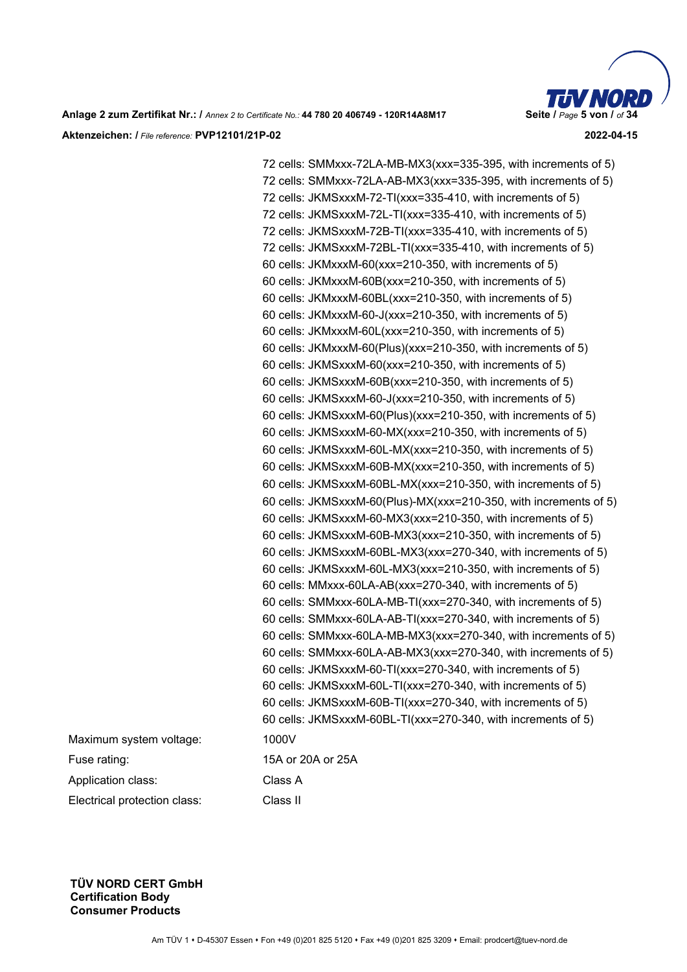

72 cells: SMMxxx-72LA-MB-MX3(xxx=335-395, with increments of 5) 72 cells: SMMxxx-72LA-AB-MX3(xxx=335-395, with increments of 5) 72 cells: JKMSxxxM-72-TI(xxx=335-410, with increments of 5) 72 cells: JKMSxxxM-72L-TI(xxx=335-410, with increments of 5) 72 cells: JKMSxxxM-72B-TI(xxx=335-410, with increments of 5) 72 cells: JKMSxxxM-72BL-TI(xxx=335-410, with increments of 5) 60 cells: JKMxxxM-60(xxx=210-350, with increments of 5) 60 cells: JKMxxxM-60B(xxx=210-350, with increments of 5) 60 cells: JKMxxxM-60BL(xxx=210-350, with increments of 5) 60 cells: JKMxxxM-60-J(xxx=210-350, with increments of 5) 60 cells: JKMxxxM-60L(xxx=210-350, with increments of 5) 60 cells: JKMxxxM-60(Plus)(xxx=210-350, with increments of 5) 60 cells: JKMSxxxM-60(xxx=210-350, with increments of 5) 60 cells: JKMSxxxM-60B(xxx=210-350, with increments of 5) 60 cells: JKMSxxxM-60-J(xxx=210-350, with increments of 5) 60 cells: JKMSxxxM-60(Plus)(xxx=210-350, with increments of 5) 60 cells: JKMSxxxM-60-MX(xxx=210-350, with increments of 5) 60 cells: JKMSxxxM-60L-MX(xxx=210-350, with increments of 5) 60 cells: JKMSxxxM-60B-MX(xxx=210-350, with increments of 5) 60 cells: JKMSxxxM-60BL-MX(xxx=210-350, with increments of 5) 60 cells: JKMSxxxM-60(Plus)-MX(xxx=210-350, with increments of 5) 60 cells: JKMSxxxM-60-MX3(xxx=210-350, with increments of 5) 60 cells: JKMSxxxM-60B-MX3(xxx=210-350, with increments of 5) 60 cells: JKMSxxxM-60BL-MX3(xxx=270-340, with increments of 5) 60 cells: JKMSxxxM-60L-MX3(xxx=210-350, with increments of 5) 60 cells: MMxxx-60LA-AB(xxx=270-340, with increments of 5) 60 cells: SMMxxx-60LA-MB-TI(xxx=270-340, with increments of 5) 60 cells: SMMxxx-60LA-AB-TI(xxx=270-340, with increments of 5) 60 cells: SMMxxx-60LA-MB-MX3(xxx=270-340, with increments of 5) 60 cells: SMMxxx-60LA-AB-MX3(xxx=270-340, with increments of 5) 60 cells: JKMSxxxM-60-TI(xxx=270-340, with increments of 5) 60 cells: JKMSxxxM-60L-TI(xxx=270-340, with increments of 5) 60 cells: JKMSxxxM-60B-TI(xxx=270-340, with increments of 5) 60 cells: JKMSxxxM-60BL-TI(xxx=270-340, with increments of 5) Fuse rating: 15A or 20A or 25A

Maximum system voltage: 1000V

Application class: Class A

Electrical protection class: Class II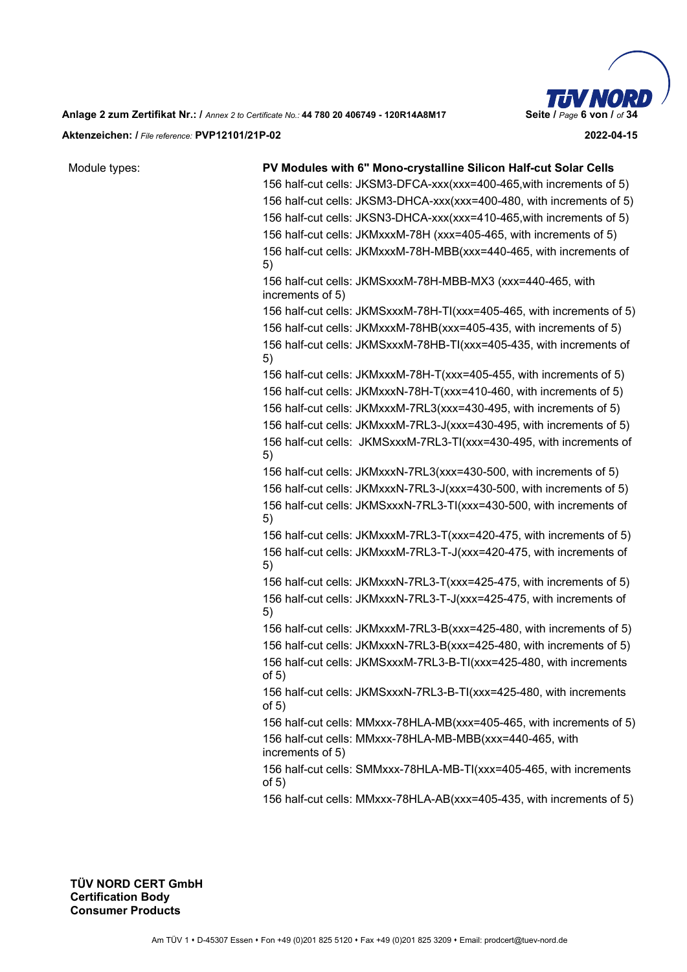**Anlage 2 zum Zertifikat Nr.: /** *Annex 2 to Certificate No.:* **44 780 20 406749 - 120R14A8M17 Seite /** *Page* **6 von /** *of* **34 Aktenzeichen: /** *File reference:* **PVP12101/21P-02 2022-04-15** 

| Module types: | PV Modules with 6" Mono-crystalline Silicon Half-cut Solar Cells                |
|---------------|---------------------------------------------------------------------------------|
|               | 156 half-cut cells: JKSM3-DFCA-xxx(xxx=400-465, with increments of 5)           |
|               | 156 half-cut cells: JKSM3-DHCA-xxx(xxx=400-480, with increments of 5)           |
|               | 156 half-cut cells: JKSN3-DHCA-xxx(xxx=410-465, with increments of 5)           |
|               | 156 half-cut cells: JKMxxxM-78H (xxx=405-465, with increments of 5)             |
|               | 156 half-cut cells: JKMxxxM-78H-MBB(xxx=440-465, with increments of<br>5)       |
|               | 156 half-cut cells: JKMSxxxM-78H-MBB-MX3 (xxx=440-465, with<br>increments of 5) |
|               | 156 half-cut cells: JKMSxxxM-78H-TI(xxx=405-465, with increments of 5)          |
|               | 156 half-cut cells: JKMxxxM-78HB(xxx=405-435, with increments of 5)             |
|               | 156 half-cut cells: JKMSxxxM-78HB-TI(xxx=405-435, with increments of<br>5)      |
|               | 156 half-cut cells: JKMxxxM-78H-T(xxx=405-455, with increments of 5)            |
|               | 156 half-cut cells: JKMxxxN-78H-T(xxx=410-460, with increments of 5)            |
|               | 156 half-cut cells: JKMxxxM-7RL3(xxx=430-495, with increments of 5)             |
|               | 156 half-cut cells: JKMxxxM-7RL3-J(xxx=430-495, with increments of 5)           |
|               | 156 half-cut cells: JKMSxxxM-7RL3-TI(xxx=430-495, with increments of<br>5)      |
|               | 156 half-cut cells: JKMxxxN-7RL3(xxx=430-500, with increments of 5)             |
|               | 156 half-cut cells: JKMxxxN-7RL3-J(xxx=430-500, with increments of 5)           |
|               | 156 half-cut cells: JKMSxxxN-7RL3-TI(xxx=430-500, with increments of<br>5)      |
|               | 156 half-cut cells: JKMxxxM-7RL3-T(xxx=420-475, with increments of 5)           |
|               | 156 half-cut cells: JKMxxxM-7RL3-T-J(xxx=420-475, with increments of<br>5)      |
|               | 156 half-cut cells: JKMxxxN-7RL3-T(xxx=425-475, with increments of 5)           |
|               | 156 half-cut cells: JKMxxxN-7RL3-T-J(xxx=425-475, with increments of<br>5)      |
|               | 156 half-cut cells: JKMxxxM-7RL3-B(xxx=425-480, with increments of 5)           |
|               | 156 half-cut cells: JKMxxxN-7RL3-B(xxx=425-480, with increments of 5)           |
|               | 156 half-cut cells: JKMSxxxM-7RL3-B-TI(xxx=425-480, with increments<br>of $5)$  |
|               | 156 half-cut cells: JKMSxxxN-7RL3-B-TI(xxx=425-480, with increments<br>of $5)$  |
|               | 156 half-cut cells: MMxxx-78HLA-MB(xxx=405-465, with increments of 5)           |
|               | 156 half-cut cells: MMxxx-78HLA-MB-MBB(xxx=440-465, with<br>increments of 5)    |
|               | 156 half-cut cells: SMMxxx-78HLA-MB-TI(xxx=405-465, with increments<br>of $5)$  |
|               | 156 half-cut cells: MMxxx-78HLA-AB(xxx=405-435, with increments of 5)           |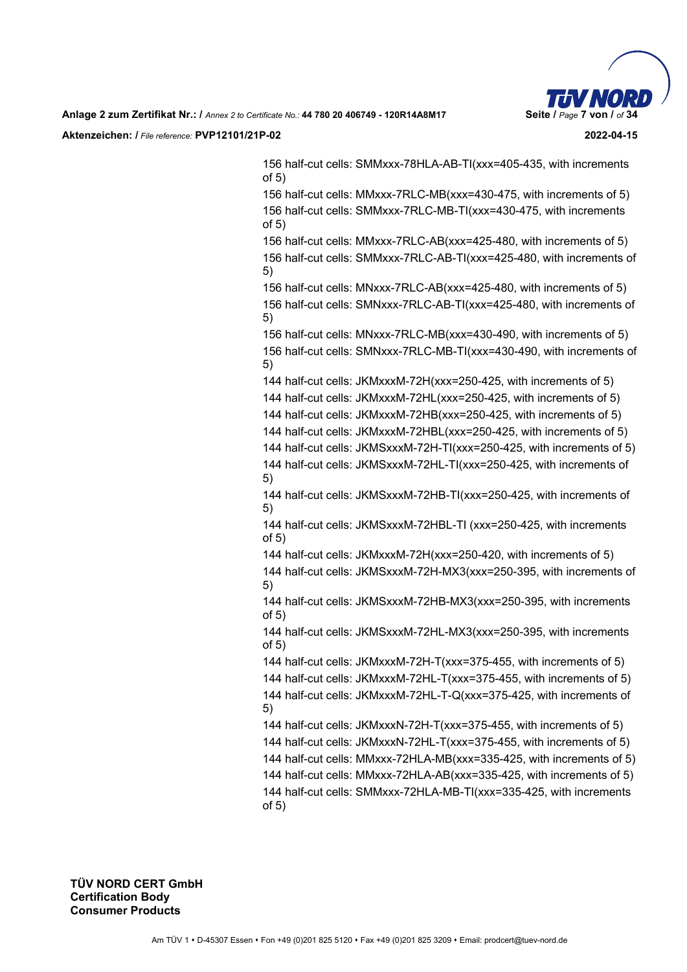

156 half-cut cells: SMMxxx-78HLA-AB-TI(xxx=405-435, with increments of 5)

156 half-cut cells: MMxxx-7RLC-MB(xxx=430-475, with increments of 5) 156 half-cut cells: SMMxxx-7RLC-MB-TI(xxx=430-475, with increments of 5)

156 half-cut cells: MMxxx-7RLC-AB(xxx=425-480, with increments of 5) 156 half-cut cells: SMMxxx-7RLC-AB-TI(xxx=425-480, with increments of 5)

156 half-cut cells: MNxxx-7RLC-AB(xxx=425-480, with increments of 5) 156 half-cut cells: SMNxxx-7RLC-AB-TI(xxx=425-480, with increments of 5)

156 half-cut cells: MNxxx-7RLC-MB(xxx=430-490, with increments of 5) 156 half-cut cells: SMNxxx-7RLC-MB-TI(xxx=430-490, with increments of 5)

144 half-cut cells: JKMxxxM-72H(xxx=250-425, with increments of 5) 144 half-cut cells: JKMxxxM-72HL(xxx=250-425, with increments of 5)

144 half-cut cells: JKMxxxM-72HB(xxx=250-425, with increments of 5)

144 half-cut cells: JKMxxxM-72HBL(xxx=250-425, with increments of 5)

144 half-cut cells: JKMSxxxM-72H-TI(xxx=250-425, with increments of 5) 144 half-cut cells: JKMSxxxM-72HL-TI(xxx=250-425, with increments of 5)

144 half-cut cells: JKMSxxxM-72HB-TI(xxx=250-425, with increments of 5)

144 half-cut cells: JKMSxxxM-72HBL-TI (xxx=250-425, with increments of 5)

144 half-cut cells: JKMxxxM-72H(xxx=250-420, with increments of 5) 144 half-cut cells: JKMSxxxM-72H-MX3(xxx=250-395, with increments of 5)

144 half-cut cells: JKMSxxxM-72HB-MX3(xxx=250-395, with increments of 5)

144 half-cut cells: JKMSxxxM-72HL-MX3(xxx=250-395, with increments of 5)

144 half-cut cells: JKMxxxM-72H-T(xxx=375-455, with increments of 5)

144 half-cut cells: JKMxxxM-72HL-T(xxx=375-455, with increments of 5) 144 half-cut cells: JKMxxxM-72HL-T-Q(xxx=375-425, with increments of 5)

144 half-cut cells: JKMxxxN-72H-T(xxx=375-455, with increments of 5)

144 half-cut cells: JKMxxxN-72HL-T(xxx=375-455, with increments of 5)

144 half-cut cells: MMxxx-72HLA-MB(xxx=335-425, with increments of 5)

144 half-cut cells: MMxxx-72HLA-AB(xxx=335-425, with increments of 5) 144 half-cut cells: SMMxxx-72HLA-MB-TI(xxx=335-425, with increments of 5)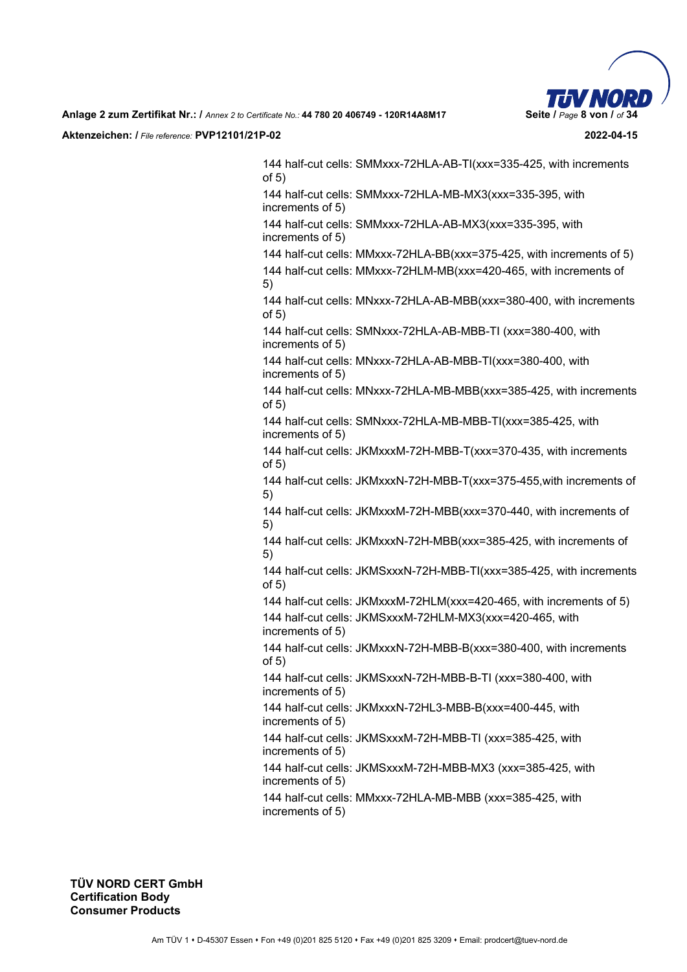

144 half-cut cells: SMMxxx-72HLA-AB-TI(xxx=335-425, with increments of 5) 144 half-cut cells: SMMxxx-72HLA-MB-MX3(xxx=335-395, with increments of 5) 144 half-cut cells: SMMxxx-72HLA-AB-MX3(xxx=335-395, with increments of 5) 144 half-cut cells: MMxxx-72HLA-BB(xxx=375-425, with increments of 5) 144 half-cut cells: MMxxx-72HLM-MB(xxx=420-465, with increments of 5) 144 half-cut cells: MNxxx-72HLA-AB-MBB(xxx=380-400, with increments of 5) 144 half-cut cells: SMNxxx-72HLA-AB-MBB-TI (xxx=380-400, with increments of 5)

144 half-cut cells: MNxxx-72HLA-AB-MBB-TI(xxx=380-400, with increments of 5)

144 half-cut cells: MNxxx-72HLA-MB-MBB(xxx=385-425, with increments of 5)

144 half-cut cells: SMNxxx-72HLA-MB-MBB-TI(xxx=385-425, with increments of 5)

144 half-cut cells: JKMxxxM-72H-MBB-T(xxx=370-435, with increments of 5)

144 half-cut cells: JKMxxxN-72H-MBB-T(xxx=375-455,with increments of 5)

144 half-cut cells: JKMxxxM-72H-MBB(xxx=370-440, with increments of 5)

144 half-cut cells: JKMxxxN-72H-MBB(xxx=385-425, with increments of 5)

144 half-cut cells: JKMSxxxN-72H-MBB-TI(xxx=385-425, with increments of 5)

144 half-cut cells: JKMxxxM-72HLM(xxx=420-465, with increments of 5)

144 half-cut cells: JKMSxxxM-72HLM-MX3(xxx=420-465, with increments of 5)

144 half-cut cells: JKMxxxN-72H-MBB-B(xxx=380-400, with increments of 5)

144 half-cut cells: JKMSxxxN-72H-MBB-B-TI (xxx=380-400, with increments of 5)

144 half-cut cells: JKMxxxN-72HL3-MBB-B(xxx=400-445, with increments of 5)

144 half-cut cells: JKMSxxxM-72H-MBB-TI (xxx=385-425, with increments of 5)

144 half-cut cells: JKMSxxxM-72H-MBB-MX3 (xxx=385-425, with increments of 5)

144 half-cut cells: MMxxx-72HLA-MB-MBB (xxx=385-425, with increments of 5)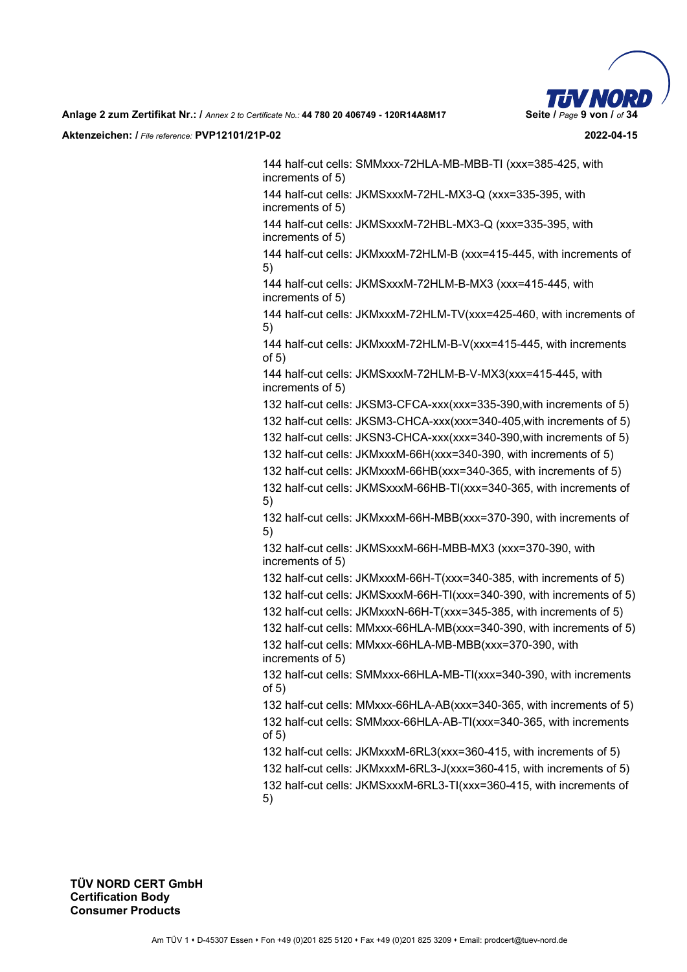

144 half-cut cells: SMMxxx-72HLA-MB-MBB-TI (xxx=385-425, with increments of 5)

144 half-cut cells: JKMSxxxM-72HL-MX3-Q (xxx=335-395, with increments of 5)

144 half-cut cells: JKMSxxxM-72HBL-MX3-Q (xxx=335-395, with increments of 5)

144 half-cut cells: JKMxxxM-72HLM-B (xxx=415-445, with increments of 5)

144 half-cut cells: JKMSxxxM-72HLM-B-MX3 (xxx=415-445, with increments of 5)

144 half-cut cells: JKMxxxM-72HLM-TV(xxx=425-460, with increments of 5)

144 half-cut cells: JKMxxxM-72HLM-B-V(xxx=415-445, with increments of 5)

144 half-cut cells: JKMSxxxM-72HLM-B-V-MX3(xxx=415-445, with increments of 5)

132 half-cut cells: JKSM3-CFCA-xxx(xxx=335-390,with increments of 5)

132 half-cut cells: JKSM3-CHCA-xxx(xxx=340-405,with increments of 5)

132 half-cut cells: JKSN3-CHCA-xxx(xxx=340-390,with increments of 5)

132 half-cut cells: JKMxxxM-66H(xxx=340-390, with increments of 5)

132 half-cut cells: JKMxxxM-66HB(xxx=340-365, with increments of 5)

132 half-cut cells: JKMSxxxM-66HB-TI(xxx=340-365, with increments of 5)

132 half-cut cells: JKMxxxM-66H-MBB(xxx=370-390, with increments of 5)

132 half-cut cells: JKMSxxxM-66H-MBB-MX3 (xxx=370-390, with increments of 5)

132 half-cut cells: JKMxxxM-66H-T(xxx=340-385, with increments of 5)

132 half-cut cells: JKMSxxxM-66H-TI(xxx=340-390, with increments of 5)

132 half-cut cells: JKMxxxN-66H-T(xxx=345-385, with increments of 5)

132 half-cut cells: MMxxx-66HLA-MB(xxx=340-390, with increments of 5) 132 half-cut cells: MMxxx-66HLA-MB-MBB(xxx=370-390, with increments of 5)

132 half-cut cells: SMMxxx-66HLA-MB-TI(xxx=340-390, with increments of 5)

132 half-cut cells: MMxxx-66HLA-AB(xxx=340-365, with increments of 5) 132 half-cut cells: SMMxxx-66HLA-AB-TI(xxx=340-365, with increments of 5)

132 half-cut cells: JKMxxxM-6RL3(xxx=360-415, with increments of 5)

132 half-cut cells: JKMxxxM-6RL3-J(xxx=360-415, with increments of 5) 132 half-cut cells: JKMSxxxM-6RL3-TI(xxx=360-415, with increments of

5)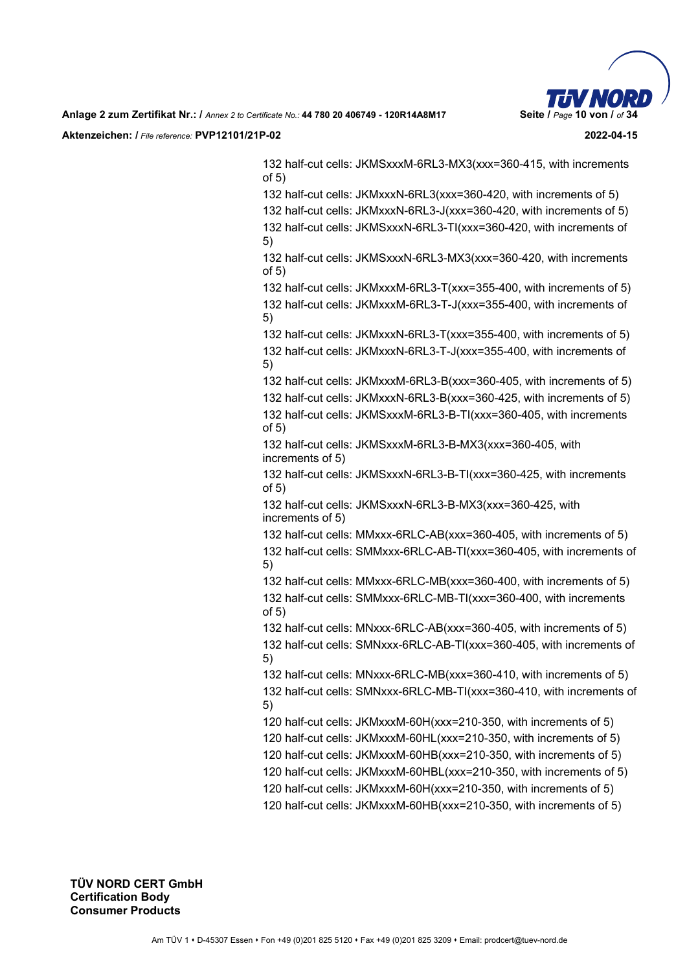132 half-cut cells: JKMSxxxM-6RL3-MX3(xxx=360-415, with increments of 5)

132 half-cut cells: JKMxxxN-6RL3(xxx=360-420, with increments of 5)

132 half-cut cells: JKMxxxN-6RL3-J(xxx=360-420, with increments of 5) 132 half-cut cells: JKMSxxxN-6RL3-TI(xxx=360-420, with increments of 5)

132 half-cut cells: JKMSxxxN-6RL3-MX3(xxx=360-420, with increments of 5)

132 half-cut cells: JKMxxxM-6RL3-T(xxx=355-400, with increments of 5) 132 half-cut cells: JKMxxxM-6RL3-T-J(xxx=355-400, with increments of 5)

132 half-cut cells: JKMxxxN-6RL3-T(xxx=355-400, with increments of 5) 132 half-cut cells: JKMxxxN-6RL3-T-J(xxx=355-400, with increments of 5)

132 half-cut cells: JKMxxxM-6RL3-B(xxx=360-405, with increments of 5) 132 half-cut cells: JKMxxxN-6RL3-B(xxx=360-425, with increments of 5) 132 half-cut cells: JKMSxxxM-6RL3-B-TI(xxx=360-405, with increments

of 5) 132 half-cut cells: JKMSxxxM-6RL3-B-MX3(xxx=360-405, with increments of 5)

132 half-cut cells: JKMSxxxN-6RL3-B-TI(xxx=360-425, with increments of 5)

132 half-cut cells: JKMSxxxN-6RL3-B-MX3(xxx=360-425, with increments of 5)

132 half-cut cells: MMxxx-6RLC-AB(xxx=360-405, with increments of 5) 132 half-cut cells: SMMxxx-6RLC-AB-TI(xxx=360-405, with increments of 5)

132 half-cut cells: MMxxx-6RLC-MB(xxx=360-400, with increments of 5) 132 half-cut cells: SMMxxx-6RLC-MB-TI(xxx=360-400, with increments of 5)

132 half-cut cells: MNxxx-6RLC-AB(xxx=360-405, with increments of 5) 132 half-cut cells: SMNxxx-6RLC-AB-TI(xxx=360-405, with increments of 5)

132 half-cut cells: MNxxx-6RLC-MB(xxx=360-410, with increments of 5) 132 half-cut cells: SMNxxx-6RLC-MB-TI(xxx=360-410, with increments of 5)

120 half-cut cells: JKMxxxM-60H(xxx=210-350, with increments of 5)

120 half-cut cells: JKMxxxM-60HL(xxx=210-350, with increments of 5)

120 half-cut cells: JKMxxxM-60HB(xxx=210-350, with increments of 5)

120 half-cut cells: JKMxxxM-60HBL(xxx=210-350, with increments of 5)

120 half-cut cells: JKMxxxM-60H(xxx=210-350, with increments of 5)

120 half-cut cells: JKMxxxM-60HB(xxx=210-350, with increments of 5)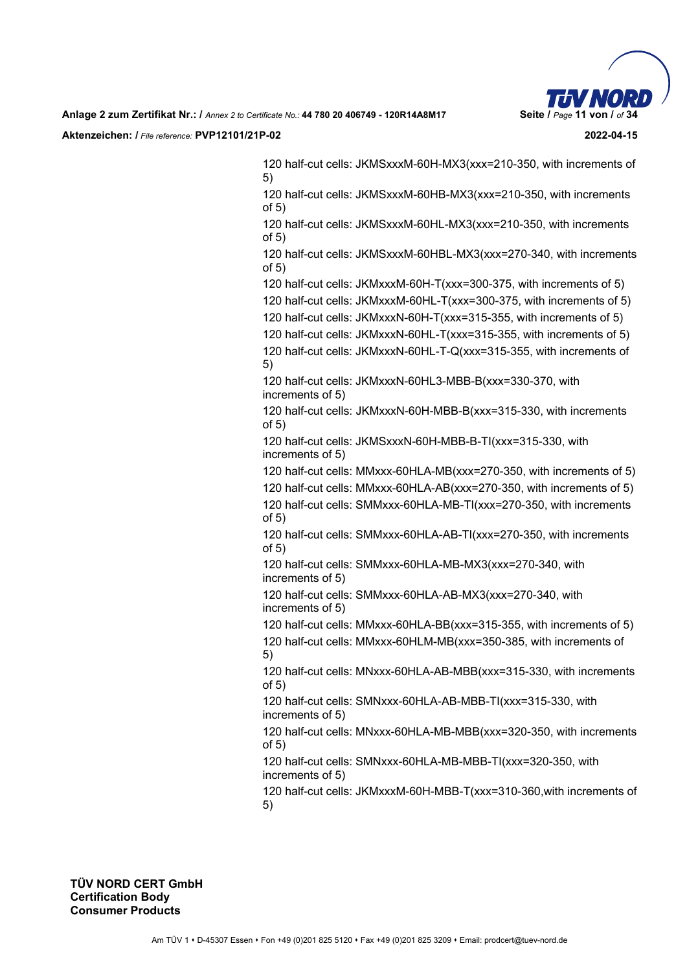

120 half-cut cells: JKMSxxxM-60H-MX3(xxx=210-350, with increments of 5)

120 half-cut cells: JKMSxxxM-60HB-MX3(xxx=210-350, with increments of 5)

120 half-cut cells: JKMSxxxM-60HL-MX3(xxx=210-350, with increments of 5)

120 half-cut cells: JKMSxxxM-60HBL-MX3(xxx=270-340, with increments of 5)

120 half-cut cells: JKMxxxM-60H-T(xxx=300-375, with increments of 5)

120 half-cut cells: JKMxxxM-60HL-T(xxx=300-375, with increments of 5) 120 half-cut cells: JKMxxxN-60H-T(xxx=315-355, with increments of 5)

120 half-cut cells: JKMxxxN-60HL-T(xxx=315-355, with increments of 5)

120 half-cut cells: JKMxxxN-60HL-T-Q(xxx=315-355, with increments of 5)

120 half-cut cells: JKMxxxN-60HL3-MBB-B(xxx=330-370, with increments of 5)

120 half-cut cells: JKMxxxN-60H-MBB-B(xxx=315-330, with increments of 5)

120 half-cut cells: JKMSxxxN-60H-MBB-B-TI(xxx=315-330, with increments of 5)

120 half-cut cells: MMxxx-60HLA-MB(xxx=270-350, with increments of 5)

120 half-cut cells: MMxxx-60HLA-AB(xxx=270-350, with increments of 5) 120 half-cut cells: SMMxxx-60HLA-MB-TI(xxx=270-350, with increments of 5)

120 half-cut cells: SMMxxx-60HLA-AB-TI(xxx=270-350, with increments of 5)

120 half-cut cells: SMMxxx-60HLA-MB-MX3(xxx=270-340, with increments of 5)

120 half-cut cells: SMMxxx-60HLA-AB-MX3(xxx=270-340, with increments of 5)

120 half-cut cells: MMxxx-60HLA-BB(xxx=315-355, with increments of 5) 120 half-cut cells: MMxxx-60HLM-MB(xxx=350-385, with increments of 5)

120 half-cut cells: MNxxx-60HLA-AB-MBB(xxx=315-330, with increments of 5)

120 half-cut cells: SMNxxx-60HLA-AB-MBB-TI(xxx=315-330, with increments of 5)

120 half-cut cells: MNxxx-60HLA-MB-MBB(xxx=320-350, with increments of 5)

120 half-cut cells: SMNxxx-60HLA-MB-MBB-TI(xxx=320-350, with increments of 5)

120 half-cut cells: JKMxxxM-60H-MBB-T(xxx=310-360,with increments of 5)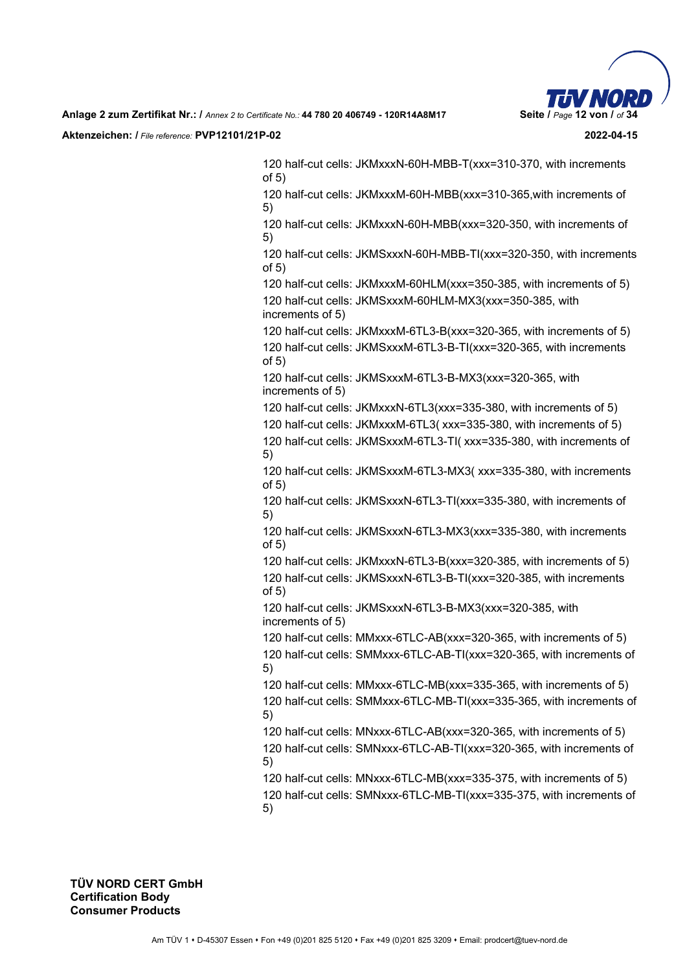

120 half-cut cells: JKMxxxN-60H-MBB-T(xxx=310-370, with increments of 5)

120 half-cut cells: JKMxxxM-60H-MBB(xxx=310-365,with increments of 5)

120 half-cut cells: JKMxxxN-60H-MBB(xxx=320-350, with increments of 5)

120 half-cut cells: JKMSxxxN-60H-MBB-TI(xxx=320-350, with increments of 5)

120 half-cut cells: JKMxxxM-60HLM(xxx=350-385, with increments of 5) 120 half-cut cells: JKMSxxxM-60HLM-MX3(xxx=350-385, with increments of 5)

120 half-cut cells: JKMxxxM-6TL3-B(xxx=320-365, with increments of 5) 120 half-cut cells: JKMSxxxM-6TL3-B-TI(xxx=320-365, with increments of 5)

120 half-cut cells: JKMSxxxM-6TL3-B-MX3(xxx=320-365, with increments of 5)

120 half-cut cells: JKMxxxN-6TL3(xxx=335-380, with increments of 5)

120 half-cut cells: JKMxxxM-6TL3( xxx=335-380, with increments of 5)

120 half-cut cells: JKMSxxxM-6TL3-TI( xxx=335-380, with increments of 5)

120 half-cut cells: JKMSxxxM-6TL3-MX3( xxx=335-380, with increments of 5)

120 half-cut cells: JKMSxxxN-6TL3-TI(xxx=335-380, with increments of 5)

120 half-cut cells: JKMSxxxN-6TL3-MX3(xxx=335-380, with increments of 5)

120 half-cut cells: JKMxxxN-6TL3-B(xxx=320-385, with increments of 5) 120 half-cut cells: JKMSxxxN-6TL3-B-TI(xxx=320-385, with increments of 5)

120 half-cut cells: JKMSxxxN-6TL3-B-MX3(xxx=320-385, with increments of 5)

120 half-cut cells: MMxxx-6TLC-AB(xxx=320-365, with increments of 5)

120 half-cut cells: SMMxxx-6TLC-AB-TI(xxx=320-365, with increments of 5)

120 half-cut cells: MMxxx-6TLC-MB(xxx=335-365, with increments of 5) 120 half-cut cells: SMMxxx-6TLC-MB-TI(xxx=335-365, with increments of 5)

120 half-cut cells: MNxxx-6TLC-AB(xxx=320-365, with increments of 5)

120 half-cut cells: SMNxxx-6TLC-AB-TI(xxx=320-365, with increments of 5)

120 half-cut cells: MNxxx-6TLC-MB(xxx=335-375, with increments of 5) 120 half-cut cells: SMNxxx-6TLC-MB-TI(xxx=335-375, with increments of 5)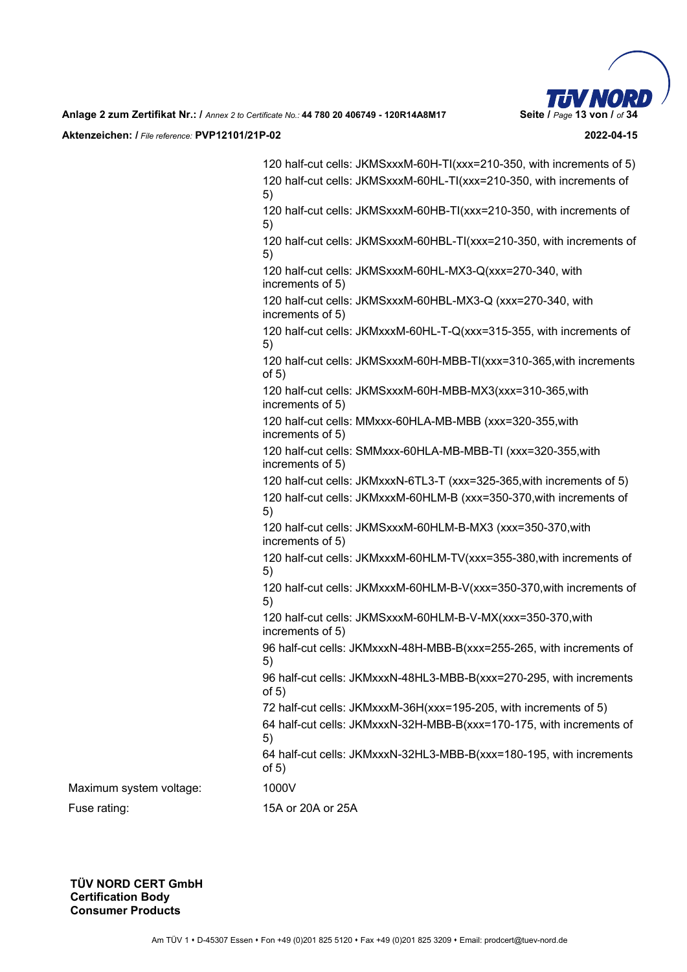

120 half-cut cells: JKMSxxxM-60H-TI(xxx=210-350, with increments of 5) 120 half-cut cells: JKMSxxxM-60HL-TI(xxx=210-350, with increments of 5) 120 half-cut cells: JKMSxxxM-60HB-TI(xxx=210-350, with increments of 5) 120 half-cut cells: JKMSxxxM-60HBL-TI(xxx=210-350, with increments of 5) 120 half-cut cells: JKMSxxxM-60HL-MX3-Q(xxx=270-340, with increments of 5) 120 half-cut cells: JKMSxxxM-60HBL-MX3-Q (xxx=270-340, with increments of 5) 120 half-cut cells: JKMxxxM-60HL-T-Q(xxx=315-355, with increments of 5) 120 half-cut cells: JKMSxxxM-60H-MBB-TI(xxx=310-365,with increments of 5) 120 half-cut cells: JKMSxxxM-60H-MBB-MX3(xxx=310-365,with increments of 5) 120 half-cut cells: MMxxx-60HLA-MB-MBB (xxx=320-355,with increments of 5) 120 half-cut cells: SMMxxx-60HLA-MB-MBB-TI (xxx=320-355,with increments of 5) 120 half-cut cells: JKMxxxN-6TL3-T (xxx=325-365,with increments of 5) 120 half-cut cells: JKMxxxM-60HLM-B (xxx=350-370,with increments of 5) 120 half-cut cells: JKMSxxxM-60HLM-B-MX3 (xxx=350-370,with increments of 5) 120 half-cut cells: JKMxxxM-60HLM-TV(xxx=355-380,with increments of 5) 120 half-cut cells: JKMxxxM-60HLM-B-V(xxx=350-370,with increments of 5) 120 half-cut cells: JKMSxxxM-60HLM-B-V-MX(xxx=350-370,with increments of 5) 96 half-cut cells: JKMxxxN-48H-MBB-B(xxx=255-265, with increments of 5) 96 half-cut cells: JKMxxxN-48HL3-MBB-B(xxx=270-295, with increments of 5) 72 half-cut cells: JKMxxxM-36H(xxx=195-205, with increments of 5) 64 half-cut cells: JKMxxxN-32H-MBB-B(xxx=170-175, with increments of 5) 64 half-cut cells: JKMxxxN-32HL3-MBB-B(xxx=180-195, with increments of 5) Maximum system voltage: 1000V

Fuse rating: 15A or 20A or 25A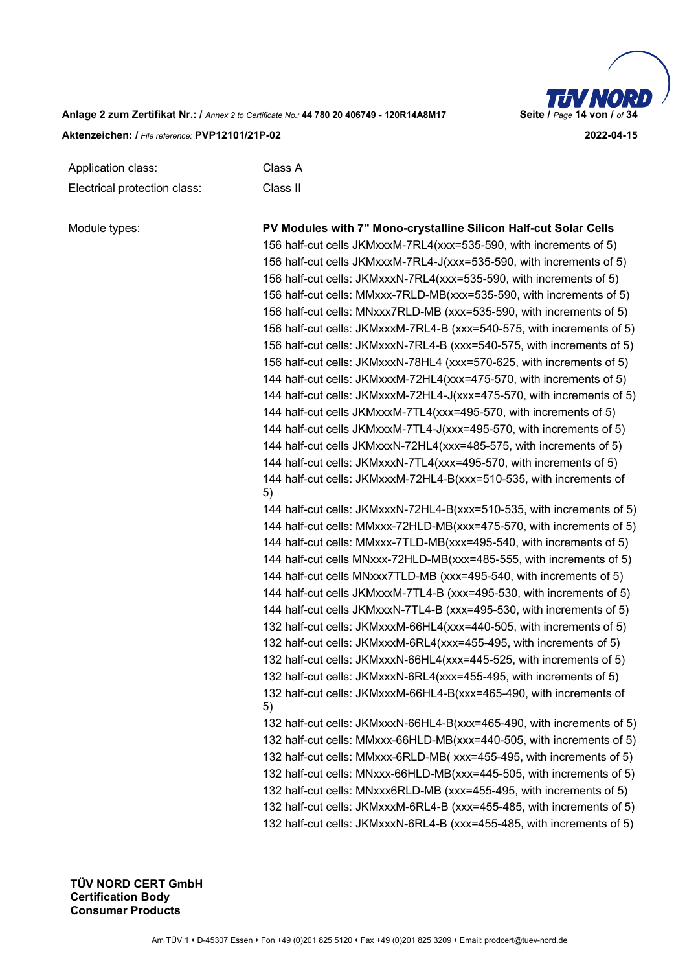

| Application class:           | Class A  |
|------------------------------|----------|
| Electrical protection class: | Class II |

| Module types: | PV Modules with 7" Mono-crystalline Silicon Half-cut Solar Cells          |
|---------------|---------------------------------------------------------------------------|
|               | 156 half-cut cells JKMxxxM-7RL4(xxx=535-590, with increments of 5)        |
|               | 156 half-cut cells JKMxxxM-7RL4-J(xxx=535-590, with increments of 5)      |
|               | 156 half-cut cells: JKMxxxN-7RL4(xxx=535-590, with increments of 5)       |
|               | 156 half-cut cells: MMxxx-7RLD-MB(xxx=535-590, with increments of 5)      |
|               | 156 half-cut cells: MNxxx7RLD-MB (xxx=535-590, with increments of 5)      |
|               | 156 half-cut cells: JKMxxxM-7RL4-B (xxx=540-575, with increments of 5)    |
|               | 156 half-cut cells: JKMxxxN-7RL4-B (xxx=540-575, with increments of 5)    |
|               | 156 half-cut cells: JKMxxxN-78HL4 (xxx=570-625, with increments of 5)     |
|               | 144 half-cut cells: JKMxxxM-72HL4(xxx=475-570, with increments of 5)      |
|               | 144 half-cut cells: JKMxxxM-72HL4-J(xxx=475-570, with increments of 5)    |
|               | 144 half-cut cells JKMxxxM-7TL4(xxx=495-570, with increments of 5)        |
|               | 144 half-cut cells JKMxxxM-7TL4-J(xxx=495-570, with increments of 5)      |
|               | 144 half-cut cells JKMxxxN-72HL4(xxx=485-575, with increments of 5)       |
|               | 144 half-cut cells: JKMxxxN-7TL4(xxx=495-570, with increments of 5)       |
|               | 144 half-cut cells: JKMxxxM-72HL4-B(xxx=510-535, with increments of<br>5) |
|               | 144 half-cut cells: JKMxxxN-72HL4-B(xxx=510-535, with increments of 5)    |
|               | 144 half-cut cells: MMxxx-72HLD-MB(xxx=475-570, with increments of 5)     |
|               | 144 half-cut cells: MMxxx-7TLD-MB(xxx=495-540, with increments of 5)      |
|               | 144 half-cut cells MNxxx-72HLD-MB(xxx=485-555, with increments of 5)      |
|               | 144 half-cut cells MNxxx7TLD-MB (xxx=495-540, with increments of 5)       |
|               | 144 half-cut cells JKMxxxM-7TL4-B (xxx=495-530, with increments of 5)     |
|               | 144 half-cut cells JKMxxxN-7TL4-B (xxx=495-530, with increments of 5)     |
|               | 132 half-cut cells: JKMxxxM-66HL4(xxx=440-505, with increments of 5)      |
|               | 132 half-cut cells: JKMxxxM-6RL4(xxx=455-495, with increments of 5)       |
|               | 132 half-cut cells: JKMxxxN-66HL4(xxx=445-525, with increments of 5)      |
|               | 132 half-cut cells: JKMxxxN-6RL4(xxx=455-495, with increments of 5)       |
|               | 132 half-cut cells: JKMxxxM-66HL4-B(xxx=465-490, with increments of<br>5) |
|               | 132 half-cut cells: JKMxxxN-66HL4-B(xxx=465-490, with increments of 5)    |
|               | 132 half-cut cells: MMxxx-66HLD-MB(xxx=440-505, with increments of 5)     |
|               | 132 half-cut cells: MMxxx-6RLD-MB(xxx=455-495, with increments of 5)      |
|               | 132 half-cut cells: MNxxx-66HLD-MB(xxx=445-505, with increments of 5)     |
|               | 132 half-cut cells: MNxxx6RLD-MB (xxx=455-495, with increments of 5)      |
|               | 132 half-cut cells: JKMxxxM-6RL4-B (xxx=455-485, with increments of 5)    |
|               | 132 half-cut cells: JKMxxxN-6RL4-B (xxx=455-485, with increments of 5)    |
|               |                                                                           |
|               |                                                                           |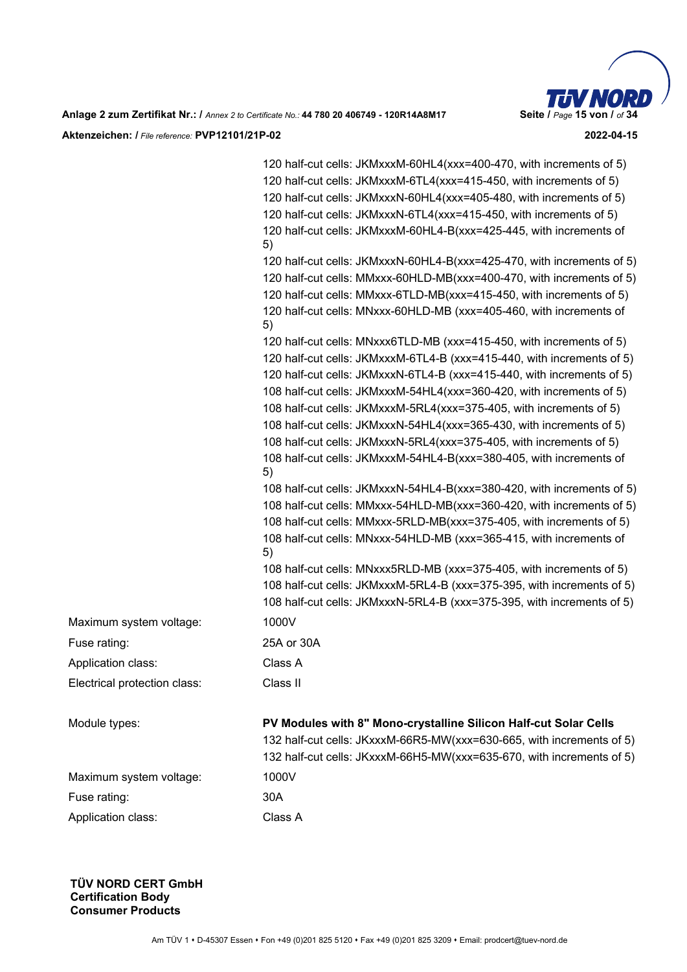

|                              | 120 half-cut cells: JKMxxxM-60HL4(xxx=400-470, with increments of 5)<br>120 half-cut cells: JKMxxxM-6TL4(xxx=415-450, with increments of 5)<br>120 half-cut cells: JKMxxxN-60HL4(xxx=405-480, with increments of 5)<br>120 half-cut cells: JKMxxxN-6TL4(xxx=415-450, with increments of 5)<br>120 half-cut cells: JKMxxxM-60HL4-B(xxx=425-445, with increments of<br>5)<br>120 half-cut cells: JKMxxxN-60HL4-B(xxx=425-470, with increments of 5)<br>120 half-cut cells: MMxxx-60HLD-MB(xxx=400-470, with increments of 5)<br>120 half-cut cells: MMxxx-6TLD-MB(xxx=415-450, with increments of 5)<br>120 half-cut cells: MNxxx-60HLD-MB (xxx=405-460, with increments of<br>5)<br>120 half-cut cells: MNxxx6TLD-MB (xxx=415-450, with increments of 5)<br>120 half-cut cells: JKMxxxM-6TL4-B (xxx=415-440, with increments of 5)<br>120 half-cut cells: JKMxxxN-6TL4-B (xxx=415-440, with increments of 5)<br>108 half-cut cells: JKMxxxM-54HL4(xxx=360-420, with increments of 5)<br>108 half-cut cells: JKMxxxM-5RL4(xxx=375-405, with increments of 5)<br>108 half-cut cells: JKMxxxN-54HL4(xxx=365-430, with increments of 5)<br>108 half-cut cells: JKMxxxN-5RL4(xxx=375-405, with increments of 5)<br>108 half-cut cells: JKMxxxM-54HL4-B(xxx=380-405, with increments of |
|------------------------------|----------------------------------------------------------------------------------------------------------------------------------------------------------------------------------------------------------------------------------------------------------------------------------------------------------------------------------------------------------------------------------------------------------------------------------------------------------------------------------------------------------------------------------------------------------------------------------------------------------------------------------------------------------------------------------------------------------------------------------------------------------------------------------------------------------------------------------------------------------------------------------------------------------------------------------------------------------------------------------------------------------------------------------------------------------------------------------------------------------------------------------------------------------------------------------------------------------------------------------------------------------------------------------|
|                              | 5)<br>108 half-cut cells: JKMxxxN-54HL4-B(xxx=380-420, with increments of 5)                                                                                                                                                                                                                                                                                                                                                                                                                                                                                                                                                                                                                                                                                                                                                                                                                                                                                                                                                                                                                                                                                                                                                                                                     |
|                              | 108 half-cut cells: MMxxx-54HLD-MB(xxx=360-420, with increments of 5)                                                                                                                                                                                                                                                                                                                                                                                                                                                                                                                                                                                                                                                                                                                                                                                                                                                                                                                                                                                                                                                                                                                                                                                                            |
|                              | 108 half-cut cells: MMxxx-5RLD-MB(xxx=375-405, with increments of 5)                                                                                                                                                                                                                                                                                                                                                                                                                                                                                                                                                                                                                                                                                                                                                                                                                                                                                                                                                                                                                                                                                                                                                                                                             |
|                              | 108 half-cut cells: MNxxx-54HLD-MB (xxx=365-415, with increments of<br>5)                                                                                                                                                                                                                                                                                                                                                                                                                                                                                                                                                                                                                                                                                                                                                                                                                                                                                                                                                                                                                                                                                                                                                                                                        |
|                              | 108 half-cut cells: MNxxx5RLD-MB (xxx=375-405, with increments of 5)                                                                                                                                                                                                                                                                                                                                                                                                                                                                                                                                                                                                                                                                                                                                                                                                                                                                                                                                                                                                                                                                                                                                                                                                             |
|                              | 108 half-cut cells: JKMxxxM-5RL4-B (xxx=375-395, with increments of 5)                                                                                                                                                                                                                                                                                                                                                                                                                                                                                                                                                                                                                                                                                                                                                                                                                                                                                                                                                                                                                                                                                                                                                                                                           |
|                              | 108 half-cut cells: JKMxxxN-5RL4-B (xxx=375-395, with increments of 5)                                                                                                                                                                                                                                                                                                                                                                                                                                                                                                                                                                                                                                                                                                                                                                                                                                                                                                                                                                                                                                                                                                                                                                                                           |
| Maximum system voltage:      | 1000V                                                                                                                                                                                                                                                                                                                                                                                                                                                                                                                                                                                                                                                                                                                                                                                                                                                                                                                                                                                                                                                                                                                                                                                                                                                                            |
| Fuse rating:                 | 25A or 30A                                                                                                                                                                                                                                                                                                                                                                                                                                                                                                                                                                                                                                                                                                                                                                                                                                                                                                                                                                                                                                                                                                                                                                                                                                                                       |
| Application class:           | Class A                                                                                                                                                                                                                                                                                                                                                                                                                                                                                                                                                                                                                                                                                                                                                                                                                                                                                                                                                                                                                                                                                                                                                                                                                                                                          |
| Electrical protection class: | Class II                                                                                                                                                                                                                                                                                                                                                                                                                                                                                                                                                                                                                                                                                                                                                                                                                                                                                                                                                                                                                                                                                                                                                                                                                                                                         |
| Module types:                | PV Modules with 8" Mono-crystalline Silicon Half-cut Solar Cells<br>132 half-cut cells: JKxxxM-66R5-MW(xxx=630-665, with increments of 5)<br>132 half-cut cells: JKxxxM-66H5-MW(xxx=635-670, with increments of 5)                                                                                                                                                                                                                                                                                                                                                                                                                                                                                                                                                                                                                                                                                                                                                                                                                                                                                                                                                                                                                                                               |
| Maximum system voltage:      | 1000V                                                                                                                                                                                                                                                                                                                                                                                                                                                                                                                                                                                                                                                                                                                                                                                                                                                                                                                                                                                                                                                                                                                                                                                                                                                                            |
| Fuse rating:                 | 30A                                                                                                                                                                                                                                                                                                                                                                                                                                                                                                                                                                                                                                                                                                                                                                                                                                                                                                                                                                                                                                                                                                                                                                                                                                                                              |
| Application class:           | Class A                                                                                                                                                                                                                                                                                                                                                                                                                                                                                                                                                                                                                                                                                                                                                                                                                                                                                                                                                                                                                                                                                                                                                                                                                                                                          |
|                              |                                                                                                                                                                                                                                                                                                                                                                                                                                                                                                                                                                                                                                                                                                                                                                                                                                                                                                                                                                                                                                                                                                                                                                                                                                                                                  |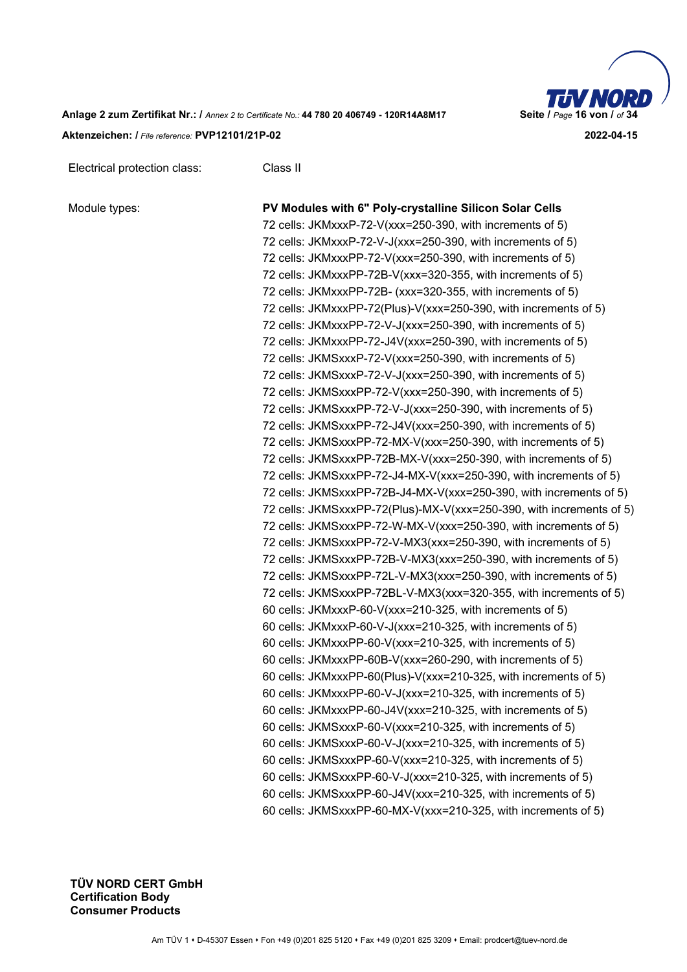

| Electrical protection class: | Class II |
|------------------------------|----------|

| Module types: |  |
|---------------|--|
|               |  |

**PV Modules with 6" Poly-crystalline Silicon Solar Cells** 72 cells: JKMxxxP-72-V(xxx=250-390, with increments of 5) 72 cells: JKMxxxP-72-V-J(xxx=250-390, with increments of 5) 72 cells: JKMxxxPP-72-V(xxx=250-390, with increments of 5) 72 cells: JKMxxxPP-72B-V(xxx=320-355, with increments of 5) 72 cells: JKMxxxPP-72B- (xxx=320-355, with increments of 5) 72 cells: JKMxxxPP-72(Plus)-V(xxx=250-390, with increments of 5) 72 cells: JKMxxxPP-72-V-J(xxx=250-390, with increments of 5) 72 cells: JKMxxxPP-72-J4V(xxx=250-390, with increments of 5) 72 cells: JKMSxxxP-72-V(xxx=250-390, with increments of 5) 72 cells: JKMSxxxP-72-V-J(xxx=250-390, with increments of 5) 72 cells: JKMSxxxPP-72-V(xxx=250-390, with increments of 5) 72 cells: JKMSxxxPP-72-V-J(xxx=250-390, with increments of 5) 72 cells: JKMSxxxPP-72-J4V(xxx=250-390, with increments of 5) 72 cells: JKMSxxxPP-72-MX-V(xxx=250-390, with increments of 5) 72 cells: JKMSxxxPP-72B-MX-V(xxx=250-390, with increments of 5) 72 cells: JKMSxxxPP-72-J4-MX-V(xxx=250-390, with increments of 5) 72 cells: JKMSxxxPP-72B-J4-MX-V(xxx=250-390, with increments of 5) 72 cells: JKMSxxxPP-72(Plus)-MX-V(xxx=250-390, with increments of 5) 72 cells: JKMSxxxPP-72-W-MX-V(xxx=250-390, with increments of 5) 72 cells: JKMSxxxPP-72-V-MX3(xxx=250-390, with increments of 5) 72 cells: JKMSxxxPP-72B-V-MX3(xxx=250-390, with increments of 5) 72 cells: JKMSxxxPP-72L-V-MX3(xxx=250-390, with increments of 5) 72 cells: JKMSxxxPP-72BL-V-MX3(xxx=320-355, with increments of 5) 60 cells: JKMxxxP-60-V(xxx=210-325, with increments of 5) 60 cells: JKMxxxP-60-V-J(xxx=210-325, with increments of 5) 60 cells: JKMxxxPP-60-V(xxx=210-325, with increments of 5) 60 cells: JKMxxxPP-60B-V(xxx=260-290, with increments of 5) 60 cells: JKMxxxPP-60(Plus)-V(xxx=210-325, with increments of 5) 60 cells: JKMxxxPP-60-V-J(xxx=210-325, with increments of 5) 60 cells: JKMxxxPP-60-J4V(xxx=210-325, with increments of 5) 60 cells: JKMSxxxP-60-V(xxx=210-325, with increments of 5) 60 cells: JKMSxxxP-60-V-J(xxx=210-325, with increments of 5) 60 cells: JKMSxxxPP-60-V(xxx=210-325, with increments of 5) 60 cells: JKMSxxxPP-60-V-J(xxx=210-325, with increments of 5) 60 cells: JKMSxxxPP-60-J4V(xxx=210-325, with increments of 5) 60 cells: JKMSxxxPP-60-MX-V(xxx=210-325, with increments of 5)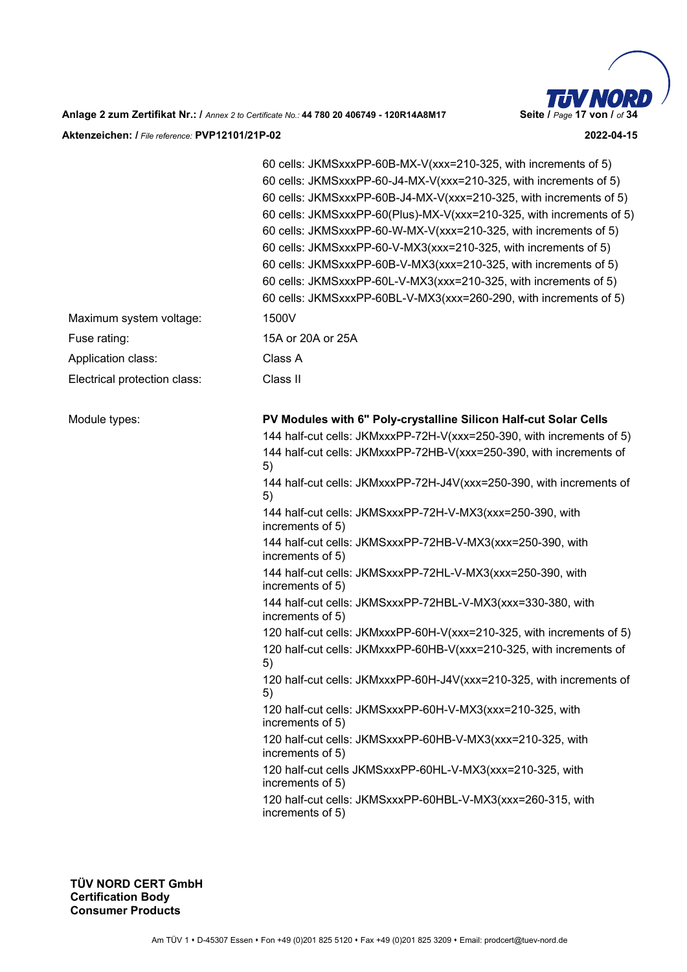

|                              | 60 cells: JKMSxxxPP-60B-MX-V(xxx=210-325, with increments of 5)<br>60 cells: JKMSxxxPP-60-J4-MX-V(xxx=210-325, with increments of 5)<br>60 cells: JKMSxxxPP-60B-J4-MX-V(xxx=210-325, with increments of 5)<br>60 cells: JKMSxxxPP-60(Plus)-MX-V(xxx=210-325, with increments of 5)<br>60 cells: JKMSxxxPP-60-W-MX-V(xxx=210-325, with increments of 5)<br>60 cells: JKMSxxxPP-60-V-MX3(xxx=210-325, with increments of 5)<br>60 cells: JKMSxxxPP-60B-V-MX3(xxx=210-325, with increments of 5)<br>60 cells: JKMSxxxPP-60L-V-MX3(xxx=210-325, with increments of 5)<br>60 cells: JKMSxxxPP-60BL-V-MX3(xxx=260-290, with increments of 5) |
|------------------------------|----------------------------------------------------------------------------------------------------------------------------------------------------------------------------------------------------------------------------------------------------------------------------------------------------------------------------------------------------------------------------------------------------------------------------------------------------------------------------------------------------------------------------------------------------------------------------------------------------------------------------------------|
| Maximum system voltage:      | 1500V                                                                                                                                                                                                                                                                                                                                                                                                                                                                                                                                                                                                                                  |
| Fuse rating:                 | 15A or 20A or 25A                                                                                                                                                                                                                                                                                                                                                                                                                                                                                                                                                                                                                      |
| Application class:           | Class A                                                                                                                                                                                                                                                                                                                                                                                                                                                                                                                                                                                                                                |
| Electrical protection class: | Class II                                                                                                                                                                                                                                                                                                                                                                                                                                                                                                                                                                                                                               |
| Module types:                | PV Modules with 6" Poly-crystalline Silicon Half-cut Solar Cells                                                                                                                                                                                                                                                                                                                                                                                                                                                                                                                                                                       |
|                              | 144 half-cut cells: JKMxxxPP-72H-V(xxx=250-390, with increments of 5)                                                                                                                                                                                                                                                                                                                                                                                                                                                                                                                                                                  |
|                              | 144 half-cut cells: JKMxxxPP-72HB-V(xxx=250-390, with increments of<br>5)                                                                                                                                                                                                                                                                                                                                                                                                                                                                                                                                                              |
|                              | 144 half-cut cells: JKMxxxPP-72H-J4V(xxx=250-390, with increments of<br>5)                                                                                                                                                                                                                                                                                                                                                                                                                                                                                                                                                             |
|                              | 144 half-cut cells: JKMSxxxPP-72H-V-MX3(xxx=250-390, with<br>increments of 5)                                                                                                                                                                                                                                                                                                                                                                                                                                                                                                                                                          |
|                              | 144 half-cut cells: JKMSxxxPP-72HB-V-MX3(xxx=250-390, with<br>increments of 5)                                                                                                                                                                                                                                                                                                                                                                                                                                                                                                                                                         |
|                              | 144 half-cut cells: JKMSxxxPP-72HL-V-MX3(xxx=250-390, with<br>increments of 5)                                                                                                                                                                                                                                                                                                                                                                                                                                                                                                                                                         |
|                              | 144 half-cut cells: JKMSxxxPP-72HBL-V-MX3(xxx=330-380, with<br>increments of 5)                                                                                                                                                                                                                                                                                                                                                                                                                                                                                                                                                        |
|                              | 120 half-cut cells: JKMxxxPP-60H-V(xxx=210-325, with increments of 5)                                                                                                                                                                                                                                                                                                                                                                                                                                                                                                                                                                  |
|                              | 120 half-cut cells: JKMxxxPP-60HB-V(xxx=210-325, with increments of<br>5)                                                                                                                                                                                                                                                                                                                                                                                                                                                                                                                                                              |
|                              | 120 half-cut cells: JKMxxxPP-60H-J4V(xxx=210-325, with increments of<br>5)                                                                                                                                                                                                                                                                                                                                                                                                                                                                                                                                                             |
|                              | 120 half-cut cells: JKMSxxxPP-60H-V-MX3(xxx=210-325, with<br>increments of 5)                                                                                                                                                                                                                                                                                                                                                                                                                                                                                                                                                          |
|                              | 120 half-cut cells: JKMSxxxPP-60HB-V-MX3(xxx=210-325, with<br>increments of 5)                                                                                                                                                                                                                                                                                                                                                                                                                                                                                                                                                         |
|                              | 120 half-cut cells JKMSxxxPP-60HL-V-MX3(xxx=210-325, with<br>increments of 5)                                                                                                                                                                                                                                                                                                                                                                                                                                                                                                                                                          |
|                              | 120 half-cut cells: JKMSxxxPP-60HBL-V-MX3(xxx=260-315, with<br>increments of 5)                                                                                                                                                                                                                                                                                                                                                                                                                                                                                                                                                        |
|                              |                                                                                                                                                                                                                                                                                                                                                                                                                                                                                                                                                                                                                                        |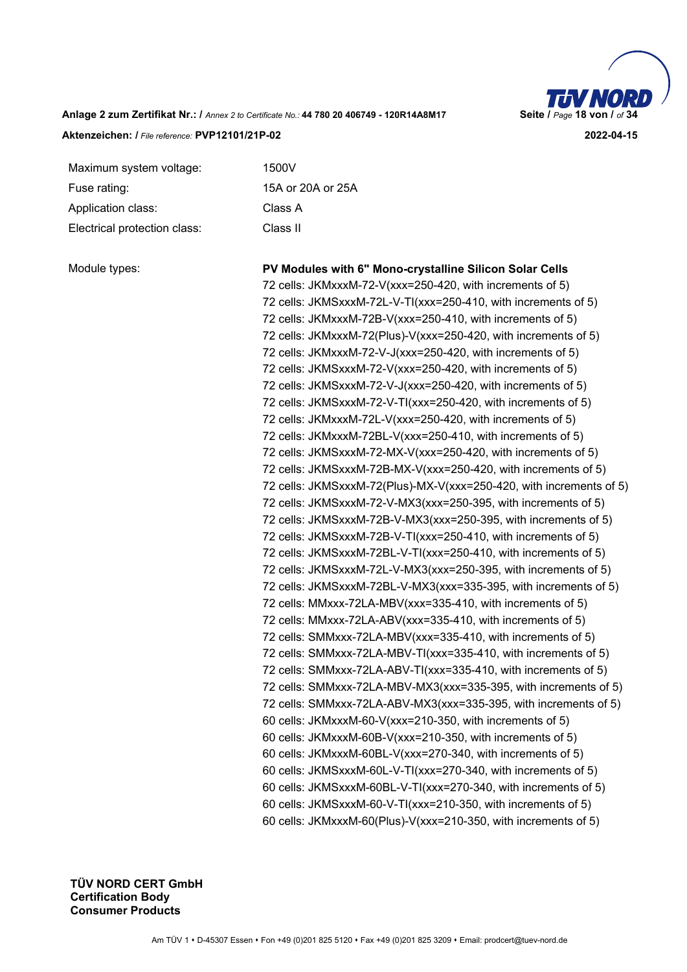

Maximum system voltage: 1500V Fuse rating: 15A or 20A or 25A Application class: Class A Electrical protection class: Class II

Module types: **PV Modules with 6" Mono-crystalline Silicon Solar Cells**  72 cells: JKMxxxM-72-V(xxx=250-420, with increments of 5) 72 cells: JKMSxxxM-72L-V-TI(xxx=250-410, with increments of 5) 72 cells: JKMxxxM-72B-V(xxx=250-410, with increments of 5) 72 cells: JKMxxxM-72(Plus)-V(xxx=250-420, with increments of 5) 72 cells: JKMxxxM-72-V-J(xxx=250-420, with increments of 5) 72 cells: JKMSxxxM-72-V(xxx=250-420, with increments of 5) 72 cells: JKMSxxxM-72-V-J(xxx=250-420, with increments of 5) 72 cells: JKMSxxxM-72-V-TI(xxx=250-420, with increments of 5) 72 cells: JKMxxxM-72L-V(xxx=250-420, with increments of 5) 72 cells: JKMxxxM-72BL-V(xxx=250-410, with increments of 5) 72 cells: JKMSxxxM-72-MX-V(xxx=250-420, with increments of 5) 72 cells: JKMSxxxM-72B-MX-V(xxx=250-420, with increments of 5) 72 cells: JKMSxxxM-72(Plus)-MX-V(xxx=250-420, with increments of 5) 72 cells: JKMSxxxM-72-V-MX3(xxx=250-395, with increments of 5) 72 cells: JKMSxxxM-72B-V-MX3(xxx=250-395, with increments of 5) 72 cells: JKMSxxxM-72B-V-TI(xxx=250-410, with increments of 5) 72 cells: JKMSxxxM-72BL-V-TI(xxx=250-410, with increments of 5) 72 cells: JKMSxxxM-72L-V-MX3(xxx=250-395, with increments of 5) 72 cells: JKMSxxxM-72BL-V-MX3(xxx=335-395, with increments of 5) 72 cells: MMxxx-72LA-MBV(xxx=335-410, with increments of 5) 72 cells: MMxxx-72LA-ABV(xxx=335-410, with increments of 5) 72 cells: SMMxxx-72LA-MBV(xxx=335-410, with increments of 5) 72 cells: SMMxxx-72LA-MBV-TI(xxx=335-410, with increments of 5) 72 cells: SMMxxx-72LA-ABV-TI(xxx=335-410, with increments of 5) 72 cells: SMMxxx-72LA-MBV-MX3(xxx=335-395, with increments of 5) 72 cells: SMMxxx-72LA-ABV-MX3(xxx=335-395, with increments of 5) 60 cells: JKMxxxM-60-V(xxx=210-350, with increments of 5) 60 cells: JKMxxxM-60B-V(xxx=210-350, with increments of 5) 60 cells: JKMxxxM-60BL-V(xxx=270-340, with increments of 5) 60 cells: JKMSxxxM-60L-V-TI(xxx=270-340, with increments of 5) 60 cells: JKMSxxxM-60BL-V-TI(xxx=270-340, with increments of 5) 60 cells: JKMSxxxM-60-V-TI(xxx=210-350, with increments of 5) 60 cells: JKMxxxM-60(Plus)-V(xxx=210-350, with increments of 5)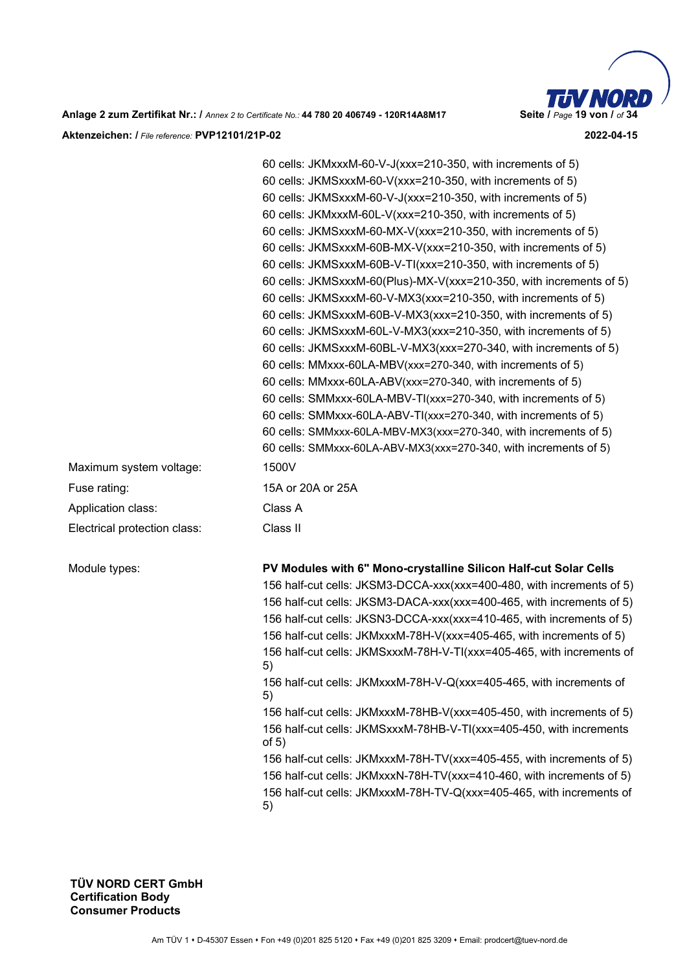

**Anlage 2 zum Zertifikat Nr.: /** *Annex 2 to Certificate No.:* **44 780 20 406749 - 120R14A8M17 Seite /** *Page* **19 von /** *of* **34 Aktenzeichen: /** *File reference:* **PVP12101/21P-02 2022-04-15** 

| Maximum system voltage:      | 60 cells: JKMxxxM-60-V-J(xxx=210-350, with increments of 5)<br>60 cells: JKMSxxxM-60-V(xxx=210-350, with increments of 5)<br>60 cells: JKMSxxxM-60-V-J(xxx=210-350, with increments of 5)<br>60 cells: JKMxxxM-60L-V(xxx=210-350, with increments of 5)<br>60 cells: JKMSxxxM-60-MX-V(xxx=210-350, with increments of 5)<br>60 cells: JKMSxxxM-60B-MX-V(xxx=210-350, with increments of 5)<br>60 cells: JKMSxxxM-60B-V-TI(xxx=210-350, with increments of 5)<br>60 cells: JKMSxxxM-60(Plus)-MX-V(xxx=210-350, with increments of 5)<br>60 cells: JKMSxxxM-60-V-MX3(xxx=210-350, with increments of 5)<br>60 cells: JKMSxxxM-60B-V-MX3(xxx=210-350, with increments of 5)<br>60 cells: JKMSxxxM-60L-V-MX3(xxx=210-350, with increments of 5)<br>60 cells: JKMSxxxM-60BL-V-MX3(xxx=270-340, with increments of 5)<br>60 cells: MMxxx-60LA-MBV(xxx=270-340, with increments of 5)<br>60 cells: MMxxx-60LA-ABV(xxx=270-340, with increments of 5)<br>60 cells: SMMxxx-60LA-MBV-TI(xxx=270-340, with increments of 5)<br>60 cells: SMMxxx-60LA-ABV-TI(xxx=270-340, with increments of 5)<br>60 cells: SMMxxx-60LA-MBV-MX3(xxx=270-340, with increments of 5)<br>60 cells: SMMxxx-60LA-ABV-MX3(xxx=270-340, with increments of 5)<br>1500V |
|------------------------------|--------------------------------------------------------------------------------------------------------------------------------------------------------------------------------------------------------------------------------------------------------------------------------------------------------------------------------------------------------------------------------------------------------------------------------------------------------------------------------------------------------------------------------------------------------------------------------------------------------------------------------------------------------------------------------------------------------------------------------------------------------------------------------------------------------------------------------------------------------------------------------------------------------------------------------------------------------------------------------------------------------------------------------------------------------------------------------------------------------------------------------------------------------------------------------------------------------------------------------------|
| Fuse rating:                 | 15A or 20A or 25A                                                                                                                                                                                                                                                                                                                                                                                                                                                                                                                                                                                                                                                                                                                                                                                                                                                                                                                                                                                                                                                                                                                                                                                                                    |
|                              | Class A                                                                                                                                                                                                                                                                                                                                                                                                                                                                                                                                                                                                                                                                                                                                                                                                                                                                                                                                                                                                                                                                                                                                                                                                                              |
| Application class:           |                                                                                                                                                                                                                                                                                                                                                                                                                                                                                                                                                                                                                                                                                                                                                                                                                                                                                                                                                                                                                                                                                                                                                                                                                                      |
| Electrical protection class: | Class II                                                                                                                                                                                                                                                                                                                                                                                                                                                                                                                                                                                                                                                                                                                                                                                                                                                                                                                                                                                                                                                                                                                                                                                                                             |
| Module types:                | PV Modules with 6" Mono-crystalline Silicon Half-cut Solar Cells<br>156 half-cut cells: JKSM3-DCCA-xxx(xxx=400-480, with increments of 5)<br>156 half-cut cells: JKSM3-DACA-xxx(xxx=400-465, with increments of 5)<br>156 half-cut cells: JKSN3-DCCA-xxx(xxx=410-465, with increments of 5)<br>156 half-cut cells: JKMxxxM-78H-V(xxx=405-465, with increments of 5)<br>156 half-cut cells: JKMSxxxM-78H-V-TI(xxx=405-465, with increments of<br>5)<br>156 half-cut cells: JKMxxxM-78H-V-Q(xxx=405-465, with increments of<br>5)<br>156 half-cut cells: JKMxxxM-78HB-V(xxx=405-450, with increments of 5)<br>156 half-cut cells: JKMSxxxM-78HB-V-TI(xxx=405-450, with increments<br>of $5)$<br>156 half-cut cells: JKMxxxM-78H-TV(xxx=405-455, with increments of 5)<br>156 half-cut cells: JKMxxxN-78H-TV(xxx=410-460, with increments of 5)<br>156 half-cut cells: JKMxxxM-78H-TV-Q(xxx=405-465, with increments of                                                                                                                                                                                                                                                                                                                 |

5)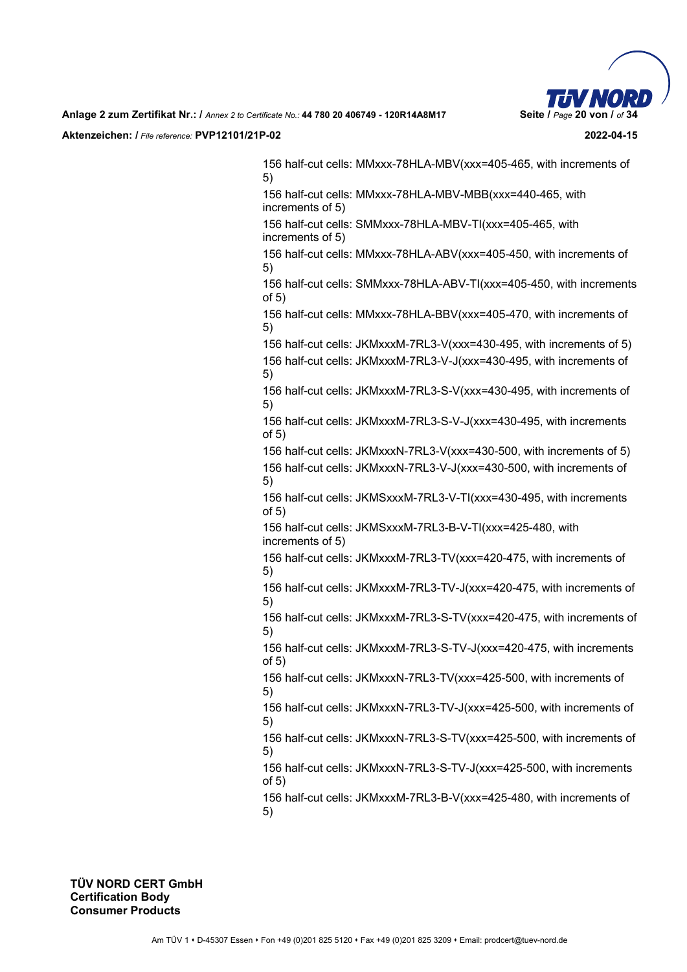

156 half-cut cells: MMxxx-78HLA-MBV(xxx=405-465, with increments of 5) 156 half-cut cells: MMxxx-78HLA-MBV-MBB(xxx=440-465, with increments of 5) 156 half-cut cells: SMMxxx-78HLA-MBV-TI(xxx=405-465, with increments of 5) 156 half-cut cells: MMxxx-78HLA-ABV(xxx=405-450, with increments of 5) 156 half-cut cells: SMMxxx-78HLA-ABV-TI(xxx=405-450, with increments of 5) 156 half-cut cells: MMxxx-78HLA-BBV(xxx=405-470, with increments of 5) 156 half-cut cells: JKMxxxM-7RL3-V(xxx=430-495, with increments of 5) 156 half-cut cells: JKMxxxM-7RL3-V-J(xxx=430-495, with increments of 5) 156 half-cut cells: JKMxxxM-7RL3-S-V(xxx=430-495, with increments of 5) 156 half-cut cells: JKMxxxM-7RL3-S-V-J(xxx=430-495, with increments of 5) 156 half-cut cells: JKMxxxN-7RL3-V(xxx=430-500, with increments of 5) 156 half-cut cells: JKMxxxN-7RL3-V-J(xxx=430-500, with increments of 5) 156 half-cut cells: JKMSxxxM-7RL3-V-TI(xxx=430-495, with increments of 5) 156 half-cut cells: JKMSxxxM-7RL3-B-V-TI(xxx=425-480, with increments of 5) 156 half-cut cells: JKMxxxM-7RL3-TV(xxx=420-475, with increments of 5) 156 half-cut cells: JKMxxxM-7RL3-TV-J(xxx=420-475, with increments of 5) 156 half-cut cells: JKMxxxM-7RL3-S-TV(xxx=420-475, with increments of 5) 156 half-cut cells: JKMxxxM-7RL3-S-TV-J(xxx=420-475, with increments of 5) 156 half-cut cells: JKMxxxN-7RL3-TV(xxx=425-500, with increments of 5) 156 half-cut cells: JKMxxxN-7RL3-TV-J(xxx=425-500, with increments of 5) 156 half-cut cells: JKMxxxN-7RL3-S-TV(xxx=425-500, with increments of 5) 156 half-cut cells: JKMxxxN-7RL3-S-TV-J(xxx=425-500, with increments of 5) 156 half-cut cells: JKMxxxM-7RL3-B-V(xxx=425-480, with increments of 5)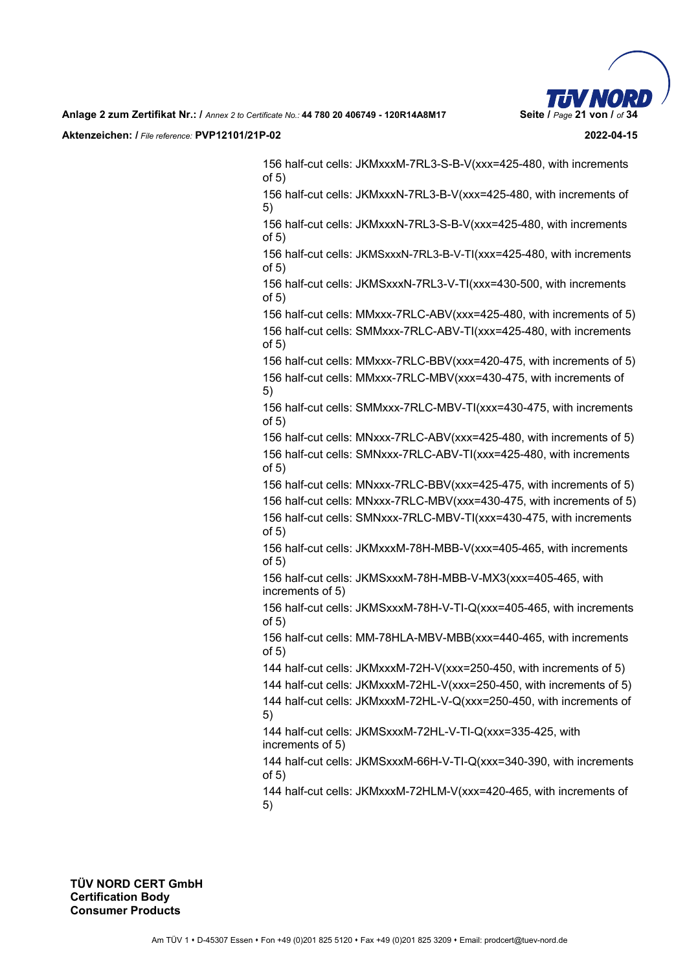

156 half-cut cells: JKMxxxM-7RL3-S-B-V(xxx=425-480, with increments of 5)

156 half-cut cells: JKMxxxN-7RL3-B-V(xxx=425-480, with increments of 5)

156 half-cut cells: JKMxxxN-7RL3-S-B-V(xxx=425-480, with increments of 5)

156 half-cut cells: JKMSxxxN-7RL3-B-V-TI(xxx=425-480, with increments of 5)

156 half-cut cells: JKMSxxxN-7RL3-V-TI(xxx=430-500, with increments of 5)

156 half-cut cells: MMxxx-7RLC-ABV(xxx=425-480, with increments of 5) 156 half-cut cells: SMMxxx-7RLC-ABV-TI(xxx=425-480, with increments of 5)

156 half-cut cells: MMxxx-7RLC-BBV(xxx=420-475, with increments of 5) 156 half-cut cells: MMxxx-7RLC-MBV(xxx=430-475, with increments of 5)

156 half-cut cells: SMMxxx-7RLC-MBV-TI(xxx=430-475, with increments of 5)

156 half-cut cells: MNxxx-7RLC-ABV(xxx=425-480, with increments of 5) 156 half-cut cells: SMNxxx-7RLC-ABV-TI(xxx=425-480, with increments of 5)

156 half-cut cells: MNxxx-7RLC-BBV(xxx=425-475, with increments of 5) 156 half-cut cells: MNxxx-7RLC-MBV(xxx=430-475, with increments of 5) 156 half-cut cells: SMNxxx-7RLC-MBV-TI(xxx=430-475, with increments

of 5)

156 half-cut cells: JKMxxxM-78H-MBB-V(xxx=405-465, with increments of 5)

156 half-cut cells: JKMSxxxM-78H-MBB-V-MX3(xxx=405-465, with increments of 5)

156 half-cut cells: JKMSxxxM-78H-V-TI-Q(xxx=405-465, with increments of 5)

156 half-cut cells: MM-78HLA-MBV-MBB(xxx=440-465, with increments of 5)

144 half-cut cells: JKMxxxM-72H-V(xxx=250-450, with increments of 5)

144 half-cut cells: JKMxxxM-72HL-V(xxx=250-450, with increments of 5)

144 half-cut cells: JKMxxxM-72HL-V-Q(xxx=250-450, with increments of 5)

144 half-cut cells: JKMSxxxM-72HL-V-TI-Q(xxx=335-425, with increments of 5)

144 half-cut cells: JKMSxxxM-66H-V-TI-Q(xxx=340-390, with increments of 5)

144 half-cut cells: JKMxxxM-72HLM-V(xxx=420-465, with increments of 5)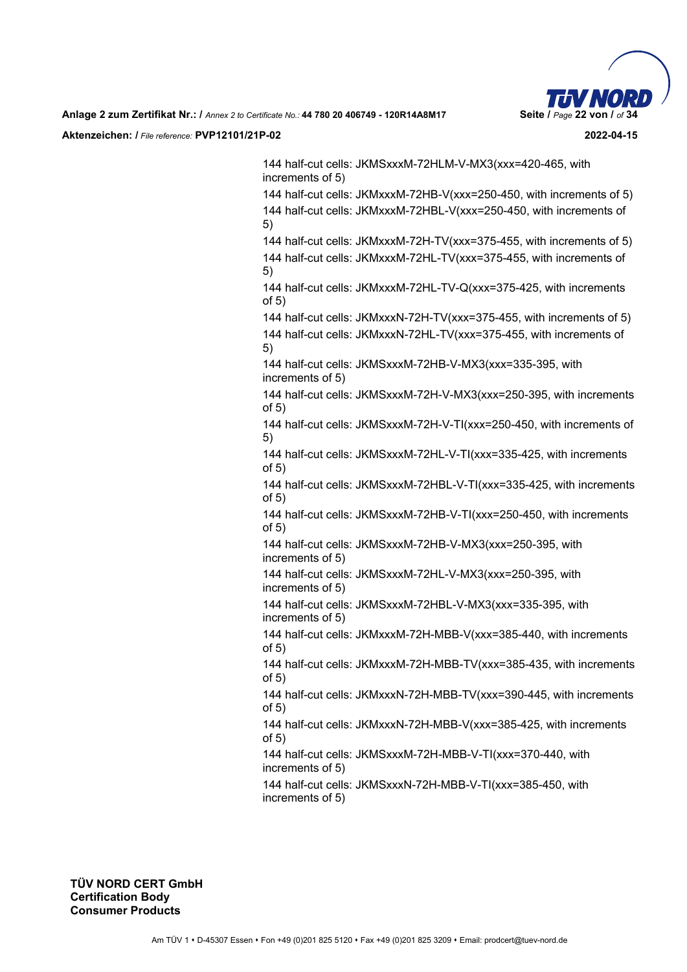

144 half-cut cells: JKMSxxxM-72HLM-V-MX3(xxx=420-465, with increments of 5)

144 half-cut cells: JKMxxxM-72HB-V(xxx=250-450, with increments of 5) 144 half-cut cells: JKMxxxM-72HBL-V(xxx=250-450, with increments of 5)

144 half-cut cells: JKMxxxM-72H-TV(xxx=375-455, with increments of 5) 144 half-cut cells: JKMxxxM-72HL-TV(xxx=375-455, with increments of 5)

144 half-cut cells: JKMxxxM-72HL-TV-Q(xxx=375-425, with increments of 5)

144 half-cut cells: JKMxxxN-72H-TV(xxx=375-455, with increments of 5)

144 half-cut cells: JKMxxxN-72HL-TV(xxx=375-455, with increments of 5)

144 half-cut cells: JKMSxxxM-72HB-V-MX3(xxx=335-395, with increments of 5)

144 half-cut cells: JKMSxxxM-72H-V-MX3(xxx=250-395, with increments of 5)

144 half-cut cells: JKMSxxxM-72H-V-TI(xxx=250-450, with increments of 5)

144 half-cut cells: JKMSxxxM-72HL-V-TI(xxx=335-425, with increments of 5)

144 half-cut cells: JKMSxxxM-72HBL-V-TI(xxx=335-425, with increments of 5)

144 half-cut cells: JKMSxxxM-72HB-V-TI(xxx=250-450, with increments of 5)

144 half-cut cells: JKMSxxxM-72HB-V-MX3(xxx=250-395, with increments of 5)

144 half-cut cells: JKMSxxxM-72HL-V-MX3(xxx=250-395, with increments of 5)

144 half-cut cells: JKMSxxxM-72HBL-V-MX3(xxx=335-395, with increments of 5)

144 half-cut cells: JKMxxxM-72H-MBB-V(xxx=385-440, with increments of 5)

144 half-cut cells: JKMxxxM-72H-MBB-TV(xxx=385-435, with increments of 5)

144 half-cut cells: JKMxxxN-72H-MBB-TV(xxx=390-445, with increments of 5)

144 half-cut cells: JKMxxxN-72H-MBB-V(xxx=385-425, with increments of 5)

144 half-cut cells: JKMSxxxM-72H-MBB-V-TI(xxx=370-440, with increments of 5)

144 half-cut cells: JKMSxxxN-72H-MBB-V-TI(xxx=385-450, with increments of 5)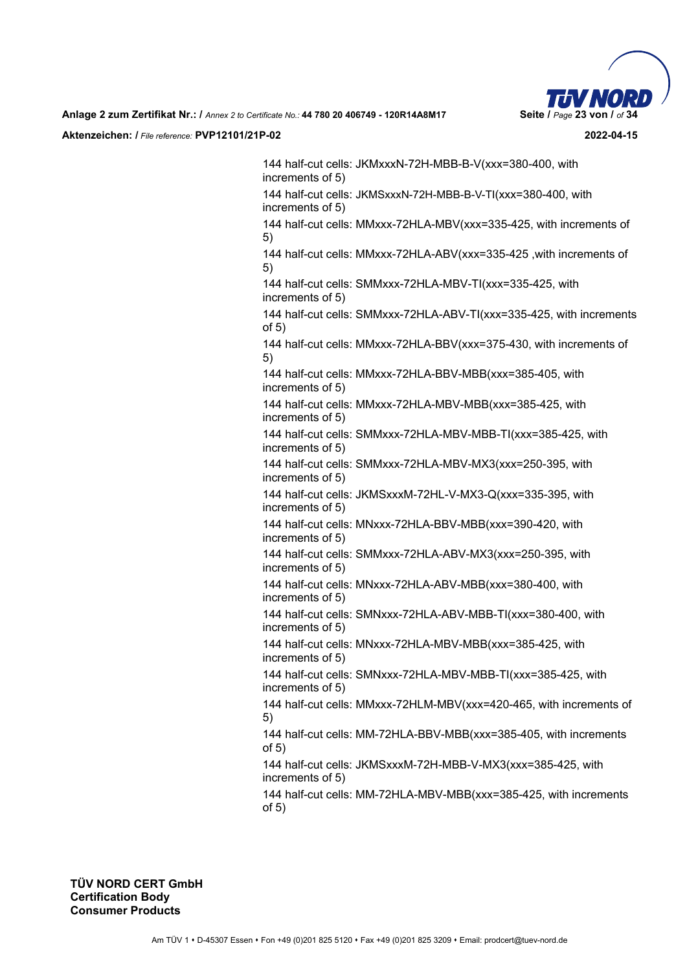

144 half-cut cells: JKMxxxN-72H-MBB-B-V(xxx=380-400, with increments of 5) 144 half-cut cells: JKMSxxxN-72H-MBB-B-V-TI(xxx=380-400, with increments of 5) 144 half-cut cells: MMxxx-72HLA-MBV(xxx=335-425, with increments of 5) 144 half-cut cells: MMxxx-72HLA-ABV(xxx=335-425 ,with increments of 5) 144 half-cut cells: SMMxxx-72HLA-MBV-TI(xxx=335-425, with increments of 5) 144 half-cut cells: SMMxxx-72HLA-ABV-TI(xxx=335-425, with increments of 5) 144 half-cut cells: MMxxx-72HLA-BBV(xxx=375-430, with increments of 5) 144 half-cut cells: MMxxx-72HLA-BBV-MBB(xxx=385-405, with increments of 5) 144 half-cut cells: MMxxx-72HLA-MBV-MBB(xxx=385-425, with increments of 5) 144 half-cut cells: SMMxxx-72HLA-MBV-MBB-TI(xxx=385-425, with increments of 5) 144 half-cut cells: SMMxxx-72HLA-MBV-MX3(xxx=250-395, with increments of 5) 144 half-cut cells: JKMSxxxM-72HL-V-MX3-Q(xxx=335-395, with increments of 5) 144 half-cut cells: MNxxx-72HLA-BBV-MBB(xxx=390-420, with increments of 5) 144 half-cut cells: SMMxxx-72HLA-ABV-MX3(xxx=250-395, with increments of 5) 144 half-cut cells: MNxxx-72HLA-ABV-MBB(xxx=380-400, with increments of 5) 144 half-cut cells: SMNxxx-72HLA-ABV-MBB-TI(xxx=380-400, with increments of 5) 144 half-cut cells: MNxxx-72HLA-MBV-MBB(xxx=385-425, with increments of 5) 144 half-cut cells: SMNxxx-72HLA-MBV-MBB-TI(xxx=385-425, with increments of 5) 144 half-cut cells: MMxxx-72HLM-MBV(xxx=420-465, with increments of 5) 144 half-cut cells: MM-72HLA-BBV-MBB(xxx=385-405, with increments of 5) 144 half-cut cells: JKMSxxxM-72H-MBB-V-MX3(xxx=385-425, with increments of 5) 144 half-cut cells: MM-72HLA-MBV-MBB(xxx=385-425, with increments of 5)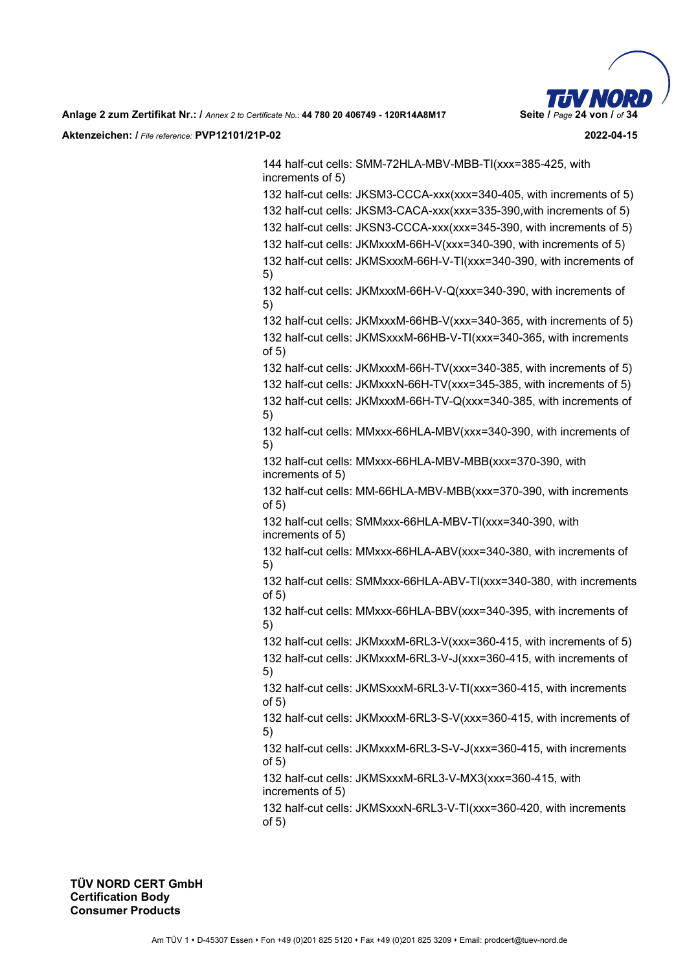

144 half-cut cells: SMM-72HLA-MBV-MBB-TI(xxx=385-425, with increments of 5)

132 half-cut cells: JKSM3-CCCA-xxx(xxx=340-405, with increments of 5) 132 half-cut cells: JKSM3-CACA-xxx(xxx=335-390,with increments of 5)

132 half-cut cells: JKSN3-CCCA-xxx(xxx=345-390, with increments of 5)

132 half-cut cells: JKMxxxM-66H-V(xxx=340-390, with increments of 5)

132 half-cut cells: JKMSxxxM-66H-V-TI(xxx=340-390, with increments of 5)

132 half-cut cells: JKMxxxM-66H-V-Q(xxx=340-390, with increments of 5)

132 half-cut cells: JKMxxxM-66HB-V(xxx=340-365, with increments of 5) 132 half-cut cells: JKMSxxxM-66HB-V-TI(xxx=340-365, with increments of 5)

132 half-cut cells: JKMxxxM-66H-TV(xxx=340-385, with increments of 5)

132 half-cut cells: JKMxxxN-66H-TV(xxx=345-385, with increments of 5) 132 half-cut cells: JKMxxxM-66H-TV-Q(xxx=340-385, with increments of 5)

132 half-cut cells: MMxxx-66HLA-MBV(xxx=340-390, with increments of 5)

132 half-cut cells: MMxxx-66HLA-MBV-MBB(xxx=370-390, with increments of 5)

132 half-cut cells: MM-66HLA-MBV-MBB(xxx=370-390, with increments of 5)

132 half-cut cells: SMMxxx-66HLA-MBV-TI(xxx=340-390, with increments of 5)

132 half-cut cells: MMxxx-66HLA-ABV(xxx=340-380, with increments of 5)

132 half-cut cells: SMMxxx-66HLA-ABV-TI(xxx=340-380, with increments of 5)

132 half-cut cells: MMxxx-66HLA-BBV(xxx=340-395, with increments of 5)

132 half-cut cells: JKMxxxM-6RL3-V(xxx=360-415, with increments of 5)

132 half-cut cells: JKMxxxM-6RL3-V-J(xxx=360-415, with increments of 5)

132 half-cut cells: JKMSxxxM-6RL3-V-TI(xxx=360-415, with increments of 5)

132 half-cut cells: JKMxxxM-6RL3-S-V(xxx=360-415, with increments of 5)

132 half-cut cells: JKMxxxM-6RL3-S-V-J(xxx=360-415, with increments of 5)

132 half-cut cells: JKMSxxxM-6RL3-V-MX3(xxx=360-415, with increments of 5)

132 half-cut cells: JKMSxxxN-6RL3-V-TI(xxx=360-420, with increments of 5)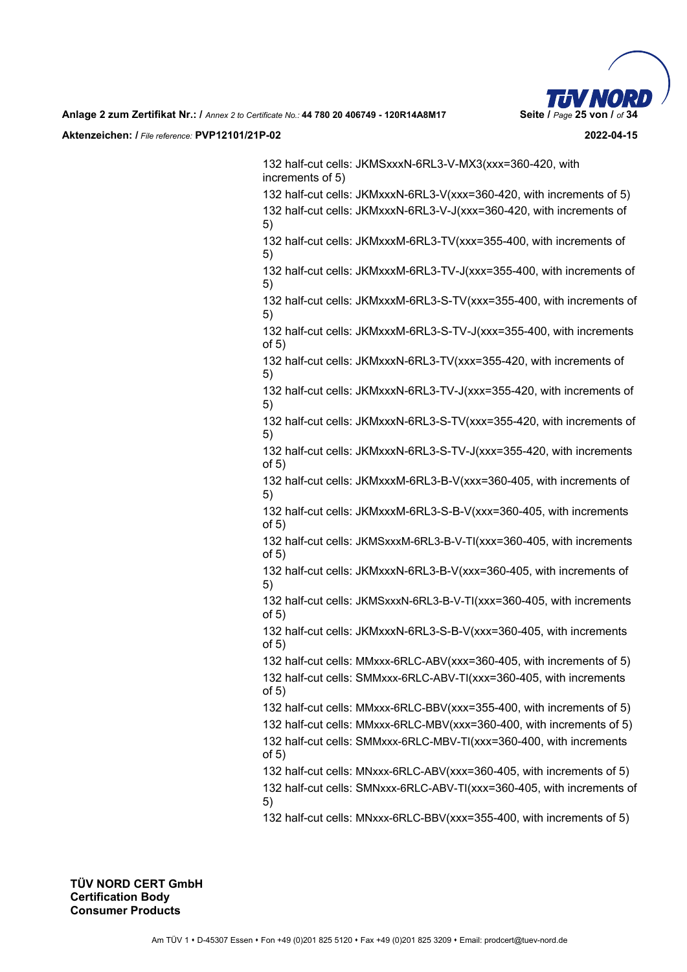

132 half-cut cells: JKMSxxxN-6RL3-V-MX3(xxx=360-420, with increments of 5) 132 half-cut cells: JKMxxxN-6RL3-V(xxx=360-420, with increments of 5) 132 half-cut cells: JKMxxxN-6RL3-V-J(xxx=360-420, with increments of 5) 132 half-cut cells: JKMxxxM-6RL3-TV(xxx=355-400, with increments of 5) 132 half-cut cells: JKMxxxM-6RL3-TV-J(xxx=355-400, with increments of 5) 132 half-cut cells: JKMxxxM-6RL3-S-TV(xxx=355-400, with increments of 5) 132 half-cut cells: JKMxxxM-6RL3-S-TV-J(xxx=355-400, with increments of 5) 132 half-cut cells: JKMxxxN-6RL3-TV(xxx=355-420, with increments of 5) 132 half-cut cells: JKMxxxN-6RL3-TV-J(xxx=355-420, with increments of 5) 132 half-cut cells: JKMxxxN-6RL3-S-TV(xxx=355-420, with increments of 5) 132 half-cut cells: JKMxxxN-6RL3-S-TV-J(xxx=355-420, with increments of 5) 132 half-cut cells: JKMxxxM-6RL3-B-V(xxx=360-405, with increments of 5) 132 half-cut cells: JKMxxxM-6RL3-S-B-V(xxx=360-405, with increments of 5) 132 half-cut cells: JKMSxxxM-6RL3-B-V-TI(xxx=360-405, with increments of 5) 132 half-cut cells: JKMxxxN-6RL3-B-V(xxx=360-405, with increments of 5) 132 half-cut cells: JKMSxxxN-6RL3-B-V-TI(xxx=360-405, with increments of 5) 132 half-cut cells: JKMxxxN-6RL3-S-B-V(xxx=360-405, with increments of 5) 132 half-cut cells: MMxxx-6RLC-ABV(xxx=360-405, with increments of 5) 132 half-cut cells: SMMxxx-6RLC-ABV-TI(xxx=360-405, with increments of 5) 132 half-cut cells: MMxxx-6RLC-BBV(xxx=355-400, with increments of 5) 132 half-cut cells: MMxxx-6RLC-MBV(xxx=360-400, with increments of 5) 132 half-cut cells: SMMxxx-6RLC-MBV-TI(xxx=360-400, with increments of 5) 132 half-cut cells: MNxxx-6RLC-ABV(xxx=360-405, with increments of 5) 132 half-cut cells: SMNxxx-6RLC-ABV-TI(xxx=360-405, with increments of 5) 132 half-cut cells: MNxxx-6RLC-BBV(xxx=355-400, with increments of 5)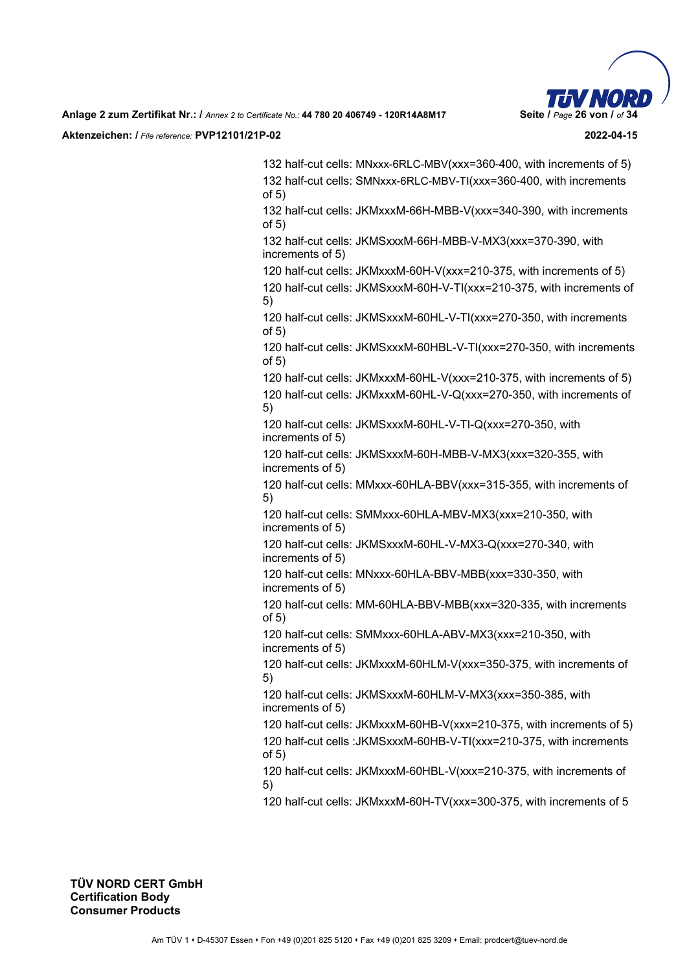

132 half-cut cells: MNxxx-6RLC-MBV(xxx=360-400, with increments of 5) 132 half-cut cells: SMNxxx-6RLC-MBV-TI(xxx=360-400, with increments of 5)

132 half-cut cells: JKMxxxM-66H-MBB-V(xxx=340-390, with increments of 5)

132 half-cut cells: JKMSxxxM-66H-MBB-V-MX3(xxx=370-390, with increments of 5)

120 half-cut cells: JKMxxxM-60H-V(xxx=210-375, with increments of 5) 120 half-cut cells: JKMSxxxM-60H-V-TI(xxx=210-375, with increments of 5)

120 half-cut cells: JKMSxxxM-60HL-V-TI(xxx=270-350, with increments of 5)

120 half-cut cells: JKMSxxxM-60HBL-V-TI(xxx=270-350, with increments of 5)

120 half-cut cells: JKMxxxM-60HL-V(xxx=210-375, with increments of 5) 120 half-cut cells: JKMxxxM-60HL-V-Q(xxx=270-350, with increments of 5)

120 half-cut cells: JKMSxxxM-60HL-V-TI-Q(xxx=270-350, with increments of 5)

120 half-cut cells: JKMSxxxM-60H-MBB-V-MX3(xxx=320-355, with increments of 5)

120 half-cut cells: MMxxx-60HLA-BBV(xxx=315-355, with increments of 5)

120 half-cut cells: SMMxxx-60HLA-MBV-MX3(xxx=210-350, with increments of 5)

120 half-cut cells: JKMSxxxM-60HL-V-MX3-Q(xxx=270-340, with increments of 5)

120 half-cut cells: MNxxx-60HLA-BBV-MBB(xxx=330-350, with increments of 5)

120 half-cut cells: MM-60HLA-BBV-MBB(xxx=320-335, with increments of 5)

120 half-cut cells: SMMxxx-60HLA-ABV-MX3(xxx=210-350, with increments of 5)

120 half-cut cells: JKMxxxM-60HLM-V(xxx=350-375, with increments of 5)

120 half-cut cells: JKMSxxxM-60HLM-V-MX3(xxx=350-385, with increments of 5)

120 half-cut cells: JKMxxxM-60HB-V(xxx=210-375, with increments of 5) 120 half-cut cells :JKMSxxxM-60HB-V-TI(xxx=210-375, with increments of 5)

120 half-cut cells: JKMxxxM-60HBL-V(xxx=210-375, with increments of 5)

120 half-cut cells: JKMxxxM-60H-TV(xxx=300-375, with increments of 5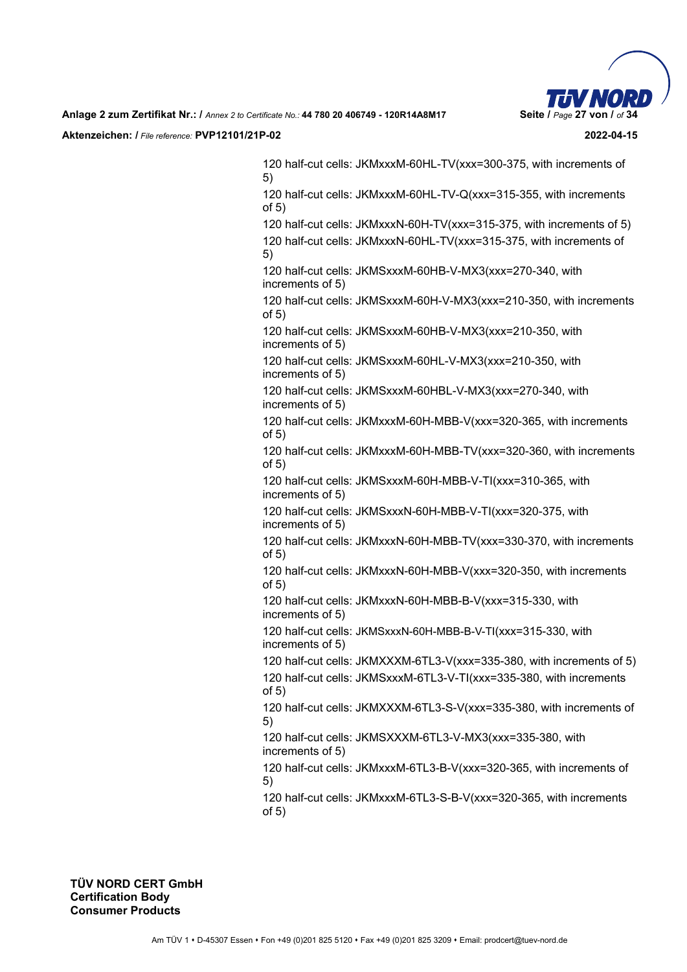

120 half-cut cells: JKMxxxM-60HL-TV(xxx=300-375, with increments of 5)

120 half-cut cells: JKMxxxM-60HL-TV-Q(xxx=315-355, with increments of 5)

120 half-cut cells: JKMxxxN-60H-TV(xxx=315-375, with increments of 5) 120 half-cut cells: JKMxxxN-60HL-TV(xxx=315-375, with increments of

5)

120 half-cut cells: JKMSxxxM-60HB-V-MX3(xxx=270-340, with increments of 5)

120 half-cut cells: JKMSxxxM-60H-V-MX3(xxx=210-350, with increments of 5)

120 half-cut cells: JKMSxxxM-60HB-V-MX3(xxx=210-350, with increments of 5)

120 half-cut cells: JKMSxxxM-60HL-V-MX3(xxx=210-350, with increments of 5)

120 half-cut cells: JKMSxxxM-60HBL-V-MX3(xxx=270-340, with increments of 5)

120 half-cut cells: JKMxxxM-60H-MBB-V(xxx=320-365, with increments of 5)

120 half-cut cells: JKMxxxM-60H-MBB-TV(xxx=320-360, with increments of 5)

120 half-cut cells: JKMSxxxM-60H-MBB-V-TI(xxx=310-365, with increments of 5)

120 half-cut cells: JKMSxxxN-60H-MBB-V-TI(xxx=320-375, with increments of 5)

120 half-cut cells: JKMxxxN-60H-MBB-TV(xxx=330-370, with increments of 5)

120 half-cut cells: JKMxxxN-60H-MBB-V(xxx=320-350, with increments of 5)

120 half-cut cells: JKMxxxN-60H-MBB-B-V(xxx=315-330, with increments of 5)

120 half-cut cells: JKMSxxxN-60H-MBB-B-V-TI(xxx=315-330, with increments of 5)

120 half-cut cells: JKMXXXM-6TL3-V(xxx=335-380, with increments of 5)

120 half-cut cells: JKMSxxxM-6TL3-V-TI(xxx=335-380, with increments of 5)

120 half-cut cells: JKMXXXM-6TL3-S-V(xxx=335-380, with increments of 5)

120 half-cut cells: JKMSXXXM-6TL3-V-MX3(xxx=335-380, with increments of 5)

120 half-cut cells: JKMxxxM-6TL3-B-V(xxx=320-365, with increments of 5)

120 half-cut cells: JKMxxxM-6TL3-S-B-V(xxx=320-365, with increments of 5)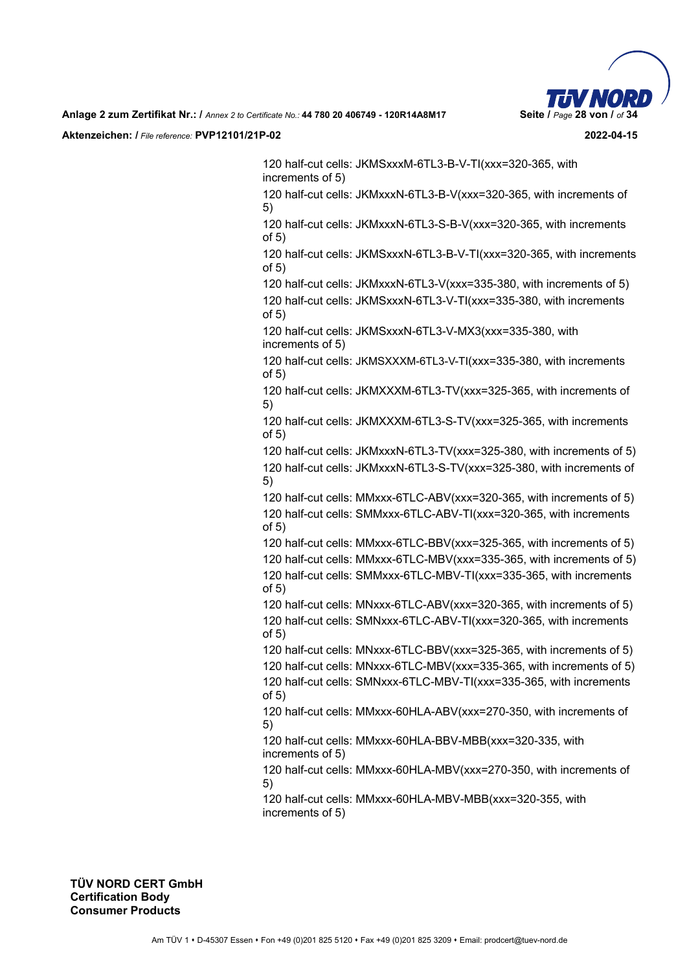

120 half-cut cells: JKMSxxxM-6TL3-B-V-TI(xxx=320-365, with increments of 5)

120 half-cut cells: JKMxxxN-6TL3-B-V(xxx=320-365, with increments of 5)

120 half-cut cells: JKMxxxN-6TL3-S-B-V(xxx=320-365, with increments of 5)

120 half-cut cells: JKMSxxxN-6TL3-B-V-TI(xxx=320-365, with increments of 5)

120 half-cut cells: JKMxxxN-6TL3-V(xxx=335-380, with increments of 5) 120 half-cut cells: JKMSxxxN-6TL3-V-TI(xxx=335-380, with increments

of 5)

120 half-cut cells: JKMSxxxN-6TL3-V-MX3(xxx=335-380, with increments of 5)

120 half-cut cells: JKMSXXXM-6TL3-V-TI(xxx=335-380, with increments of 5)

120 half-cut cells: JKMXXXM-6TL3-TV(xxx=325-365, with increments of 5)

120 half-cut cells: JKMXXXM-6TL3-S-TV(xxx=325-365, with increments of 5)

120 half-cut cells: JKMxxxN-6TL3-TV(xxx=325-380, with increments of 5) 120 half-cut cells: JKMxxxN-6TL3-S-TV(xxx=325-380, with increments of 5)

120 half-cut cells: MMxxx-6TLC-ABV(xxx=320-365, with increments of 5) 120 half-cut cells: SMMxxx-6TLC-ABV-TI(xxx=320-365, with increments of 5)

120 half-cut cells: MMxxx-6TLC-BBV(xxx=325-365, with increments of 5) 120 half-cut cells: MMxxx-6TLC-MBV(xxx=335-365, with increments of 5) 120 half-cut cells: SMMxxx-6TLC-MBV-TI(xxx=335-365, with increments of 5)

120 half-cut cells: MNxxx-6TLC-ABV(xxx=320-365, with increments of 5) 120 half-cut cells: SMNxxx-6TLC-ABV-TI(xxx=320-365, with increments of 5)

120 half-cut cells: MNxxx-6TLC-BBV(xxx=325-365, with increments of 5) 120 half-cut cells: MNxxx-6TLC-MBV(xxx=335-365, with increments of 5)

120 half-cut cells: SMNxxx-6TLC-MBV-TI(xxx=335-365, with increments of 5)

120 half-cut cells: MMxxx-60HLA-ABV(xxx=270-350, with increments of 5)

120 half-cut cells: MMxxx-60HLA-BBV-MBB(xxx=320-335, with increments of 5)

120 half-cut cells: MMxxx-60HLA-MBV(xxx=270-350, with increments of 5)

120 half-cut cells: MMxxx-60HLA-MBV-MBB(xxx=320-355, with increments of 5)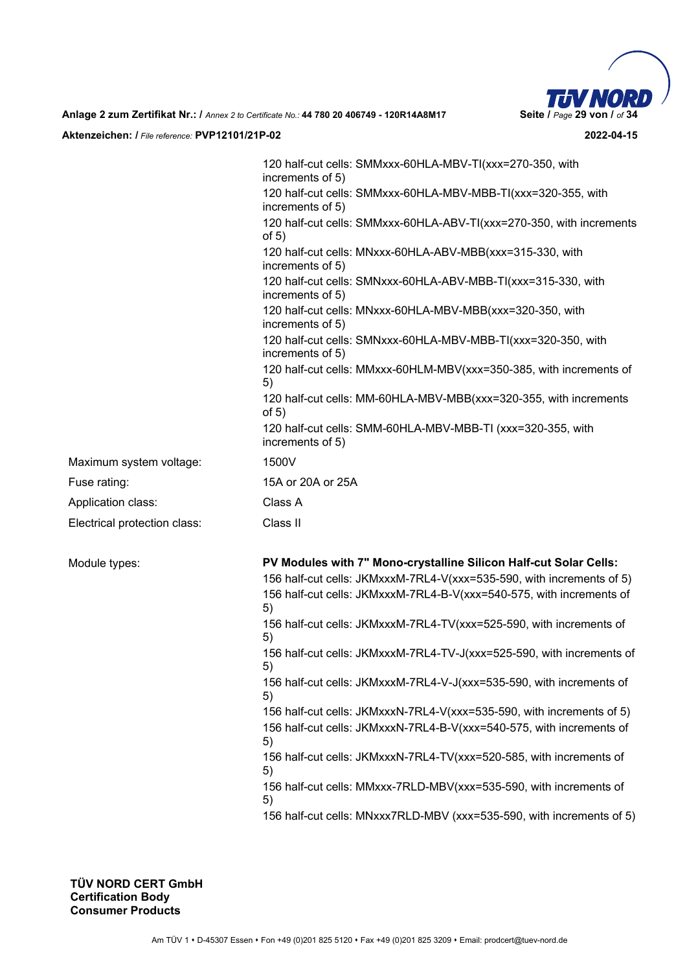

120 half-cut cells: SMMxxx-60HLA-MBV-TI(xxx=270-350, with increments of 5) 120 half-cut cells: SMMxxx-60HLA-MBV-MBB-TI(xxx=320-355, with increments of 5) 120 half-cut cells: SMMxxx-60HLA-ABV-TI(xxx=270-350, with increments of 5) 120 half-cut cells: MNxxx-60HLA-ABV-MBB(xxx=315-330, with increments of 5) 120 half-cut cells: SMNxxx-60HLA-ABV-MBB-TI(xxx=315-330, with increments of 5) 120 half-cut cells: MNxxx-60HLA-MBV-MBB(xxx=320-350, with increments of 5) 120 half-cut cells: SMNxxx-60HLA-MBV-MBB-TI(xxx=320-350, with increments of 5) 120 half-cut cells: MMxxx-60HLM-MBV(xxx=350-385, with increments of 5) 120 half-cut cells: MM-60HLA-MBV-MBB(xxx=320-355, with increments of 5) 120 half-cut cells: SMM-60HLA-MBV-MBB-TI (xxx=320-355, with increments of 5) Maximum system voltage: 1500V Fuse rating: 15A or 20A or 25A Application class: Class A Electrical protection class: Class II Module types: **PV Modules with 7" Mono-crystalline Silicon Half-cut Solar Cells:**  156 half-cut cells: JKMxxxM-7RL4-V(xxx=535-590, with increments of 5) 156 half-cut cells: JKMxxxM-7RL4-B-V(xxx=540-575, with increments of 5) 156 half-cut cells: JKMxxxM-7RL4-TV(xxx=525-590, with increments of 5) 156 half-cut cells: JKMxxxM-7RL4-TV-J(xxx=525-590, with increments of 5) 156 half-cut cells: JKMxxxM-7RL4-V-J(xxx=535-590, with increments of 5) 156 half-cut cells: JKMxxxN-7RL4-V(xxx=535-590, with increments of 5) 156 half-cut cells: JKMxxxN-7RL4-B-V(xxx=540-575, with increments of 5) 156 half-cut cells: JKMxxxN-7RL4-TV(xxx=520-585, with increments of 5) 156 half-cut cells: MMxxx-7RLD-MBV(xxx=535-590, with increments of 5) 156 half-cut cells: MNxxx7RLD-MBV (xxx=535-590, with increments of 5)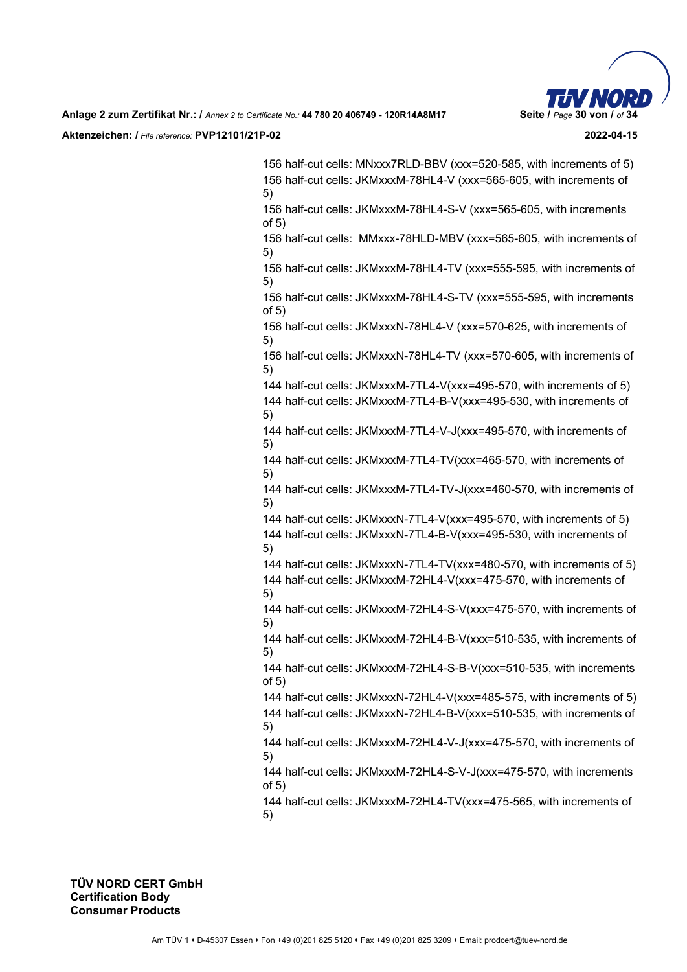

156 half-cut cells: MNxxx7RLD-BBV (xxx=520-585, with increments of 5) 156 half-cut cells: JKMxxxM-78HL4-V (xxx=565-605, with increments of 5)

156 half-cut cells: JKMxxxM-78HL4-S-V (xxx=565-605, with increments of 5)

156 half-cut cells: MMxxx-78HLD-MBV (xxx=565-605, with increments of 5)

156 half-cut cells: JKMxxxM-78HL4-TV (xxx=555-595, with increments of 5)

156 half-cut cells: JKMxxxM-78HL4-S-TV (xxx=555-595, with increments of 5)

156 half-cut cells: JKMxxxN-78HL4-V (xxx=570-625, with increments of 5)

156 half-cut cells: JKMxxxN-78HL4-TV (xxx=570-605, with increments of 5)

144 half-cut cells: JKMxxxM-7TL4-V(xxx=495-570, with increments of 5) 144 half-cut cells: JKMxxxM-7TL4-B-V(xxx=495-530, with increments of

5) 144 half-cut cells: JKMxxxM-7TL4-V-J(xxx=495-570, with increments of 5)

144 half-cut cells: JKMxxxM-7TL4-TV(xxx=465-570, with increments of 5)

144 half-cut cells: JKMxxxM-7TL4-TV-J(xxx=460-570, with increments of 5)

144 half-cut cells: JKMxxxN-7TL4-V(xxx=495-570, with increments of 5) 144 half-cut cells: JKMxxxN-7TL4-B-V(xxx=495-530, with increments of 5)

144 half-cut cells: JKMxxxN-7TL4-TV(xxx=480-570, with increments of 5) 144 half-cut cells: JKMxxxM-72HL4-V(xxx=475-570, with increments of 5)

144 half-cut cells: JKMxxxM-72HL4-S-V(xxx=475-570, with increments of 5)

144 half-cut cells: JKMxxxM-72HL4-B-V(xxx=510-535, with increments of 5)

144 half-cut cells: JKMxxxM-72HL4-S-B-V(xxx=510-535, with increments of 5)

144 half-cut cells: JKMxxxN-72HL4-V(xxx=485-575, with increments of 5) 144 half-cut cells: JKMxxxN-72HL4-B-V(xxx=510-535, with increments of 5)

144 half-cut cells: JKMxxxM-72HL4-V-J(xxx=475-570, with increments of 5)

144 half-cut cells: JKMxxxM-72HL4-S-V-J(xxx=475-570, with increments of 5)

144 half-cut cells: JKMxxxM-72HL4-TV(xxx=475-565, with increments of 5)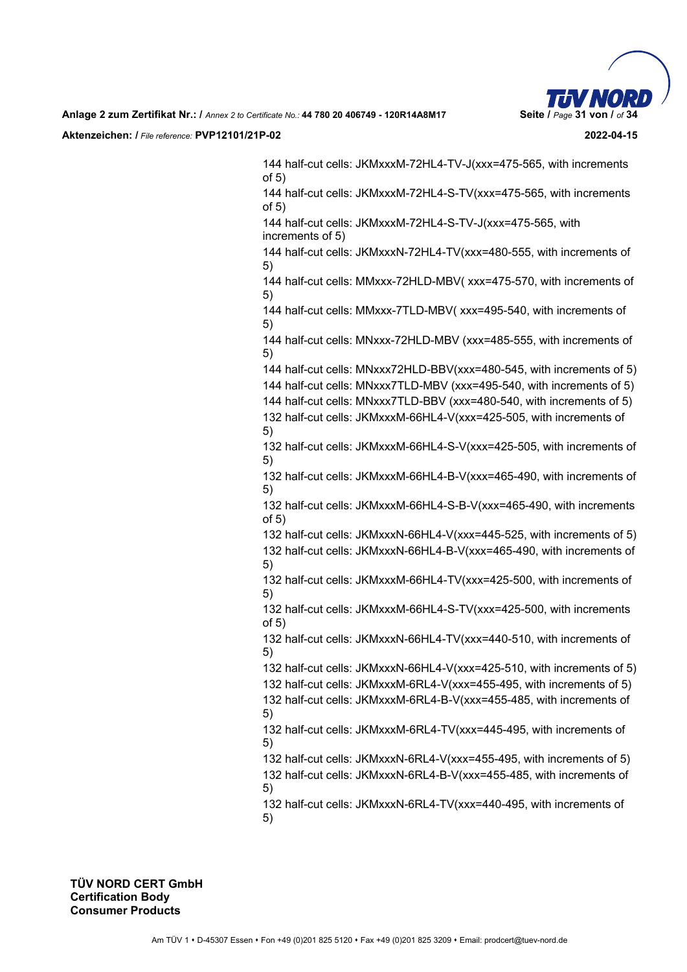

144 half-cut cells: JKMxxxM-72HL4-TV-J(xxx=475-565, with increments of 5)

144 half-cut cells: JKMxxxM-72HL4-S-TV(xxx=475-565, with increments of 5)

144 half-cut cells: JKMxxxM-72HL4-S-TV-J(xxx=475-565, with increments of 5)

144 half-cut cells: JKMxxxN-72HL4-TV(xxx=480-555, with increments of 5)

144 half-cut cells: MMxxx-72HLD-MBV( xxx=475-570, with increments of 5)

144 half-cut cells: MMxxx-7TLD-MBV( xxx=495-540, with increments of 5)

144 half-cut cells: MNxxx-72HLD-MBV (xxx=485-555, with increments of 5)

144 half-cut cells: MNxxx72HLD-BBV(xxx=480-545, with increments of 5)

144 half-cut cells: MNxxx7TLD-MBV (xxx=495-540, with increments of 5)

144 half-cut cells: MNxxx7TLD-BBV (xxx=480-540, with increments of 5) 132 half-cut cells: JKMxxxM-66HL4-V(xxx=425-505, with increments of 5)

132 half-cut cells: JKMxxxM-66HL4-S-V(xxx=425-505, with increments of 5)

132 half-cut cells: JKMxxxM-66HL4-B-V(xxx=465-490, with increments of 5)

132 half-cut cells: JKMxxxM-66HL4-S-B-V(xxx=465-490, with increments of 5)

132 half-cut cells: JKMxxxN-66HL4-V(xxx=445-525, with increments of 5) 132 half-cut cells: JKMxxxN-66HL4-B-V(xxx=465-490, with increments of 5)

132 half-cut cells: JKMxxxM-66HL4-TV(xxx=425-500, with increments of 5)

132 half-cut cells: JKMxxxM-66HL4-S-TV(xxx=425-500, with increments of 5)

132 half-cut cells: JKMxxxN-66HL4-TV(xxx=440-510, with increments of 5)

132 half-cut cells: JKMxxxN-66HL4-V(xxx=425-510, with increments of 5) 132 half-cut cells: JKMxxxM-6RL4-V(xxx=455-495, with increments of 5)

132 half-cut cells: JKMxxxM-6RL4-B-V(xxx=455-485, with increments of 5)

132 half-cut cells: JKMxxxM-6RL4-TV(xxx=445-495, with increments of 5)

132 half-cut cells: JKMxxxN-6RL4-V(xxx=455-495, with increments of 5) 132 half-cut cells: JKMxxxN-6RL4-B-V(xxx=455-485, with increments of 5)

132 half-cut cells: JKMxxxN-6RL4-TV(xxx=440-495, with increments of 5)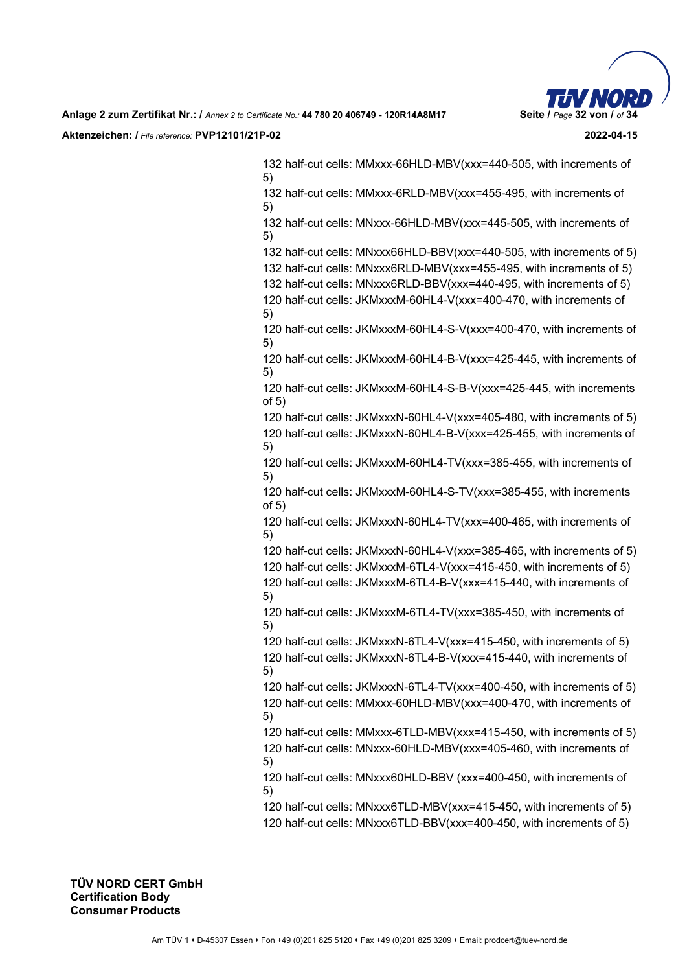

132 half-cut cells: MMxxx-66HLD-MBV(xxx=440-505, with increments of 5)

132 half-cut cells: MMxxx-6RLD-MBV(xxx=455-495, with increments of 5)

132 half-cut cells: MNxxx-66HLD-MBV(xxx=445-505, with increments of 5)

132 half-cut cells: MNxxx66HLD-BBV(xxx=440-505, with increments of 5)

132 half-cut cells: MNxxx6RLD-MBV(xxx=455-495, with increments of 5)

132 half-cut cells: MNxxx6RLD-BBV(xxx=440-495, with increments of 5) 120 half-cut cells: JKMxxxM-60HL4-V(xxx=400-470, with increments of 5)

120 half-cut cells: JKMxxxM-60HL4-S-V(xxx=400-470, with increments of 5)

120 half-cut cells: JKMxxxM-60HL4-B-V(xxx=425-445, with increments of 5)

120 half-cut cells: JKMxxxM-60HL4-S-B-V(xxx=425-445, with increments of 5)

120 half-cut cells: JKMxxxN-60HL4-V(xxx=405-480, with increments of 5) 120 half-cut cells: JKMxxxN-60HL4-B-V(xxx=425-455, with increments of 5)

120 half-cut cells: JKMxxxM-60HL4-TV(xxx=385-455, with increments of 5)

120 half-cut cells: JKMxxxM-60HL4-S-TV(xxx=385-455, with increments of 5)

120 half-cut cells: JKMxxxN-60HL4-TV(xxx=400-465, with increments of 5)

120 half-cut cells: JKMxxxN-60HL4-V(xxx=385-465, with increments of 5)

120 half-cut cells: JKMxxxM-6TL4-V(xxx=415-450, with increments of 5)

120 half-cut cells: JKMxxxM-6TL4-B-V(xxx=415-440, with increments of 5)

120 half-cut cells: JKMxxxM-6TL4-TV(xxx=385-450, with increments of 5)

120 half-cut cells: JKMxxxN-6TL4-V(xxx=415-450, with increments of 5) 120 half-cut cells: JKMxxxN-6TL4-B-V(xxx=415-440, with increments of 5)

120 half-cut cells: JKMxxxN-6TL4-TV(xxx=400-450, with increments of 5) 120 half-cut cells: MMxxx-60HLD-MBV(xxx=400-470, with increments of 5)

120 half-cut cells: MMxxx-6TLD-MBV(xxx=415-450, with increments of 5) 120 half-cut cells: MNxxx-60HLD-MBV(xxx=405-460, with increments of

5)

120 half-cut cells: MNxxx60HLD-BBV (xxx=400-450, with increments of 5)

- 120 half-cut cells: MNxxx6TLD-MBV(xxx=415-450, with increments of 5)
- 120 half-cut cells: MNxxx6TLD-BBV(xxx=400-450, with increments of 5)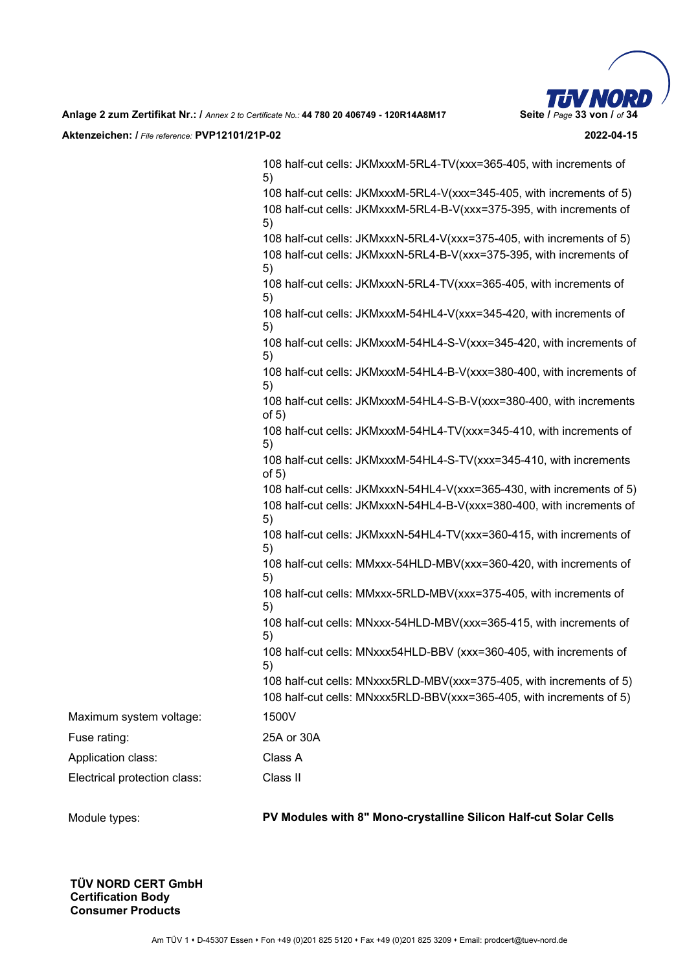

|                              | 108 half-cut cells: JKMxxxM-5RL4-TV(xxx=365-405, with increments of<br>5)       |
|------------------------------|---------------------------------------------------------------------------------|
|                              | 108 half-cut cells: JKMxxxM-5RL4-V(xxx=345-405, with increments of 5)           |
|                              | 108 half-cut cells: JKMxxxM-5RL4-B-V(xxx=375-395, with increments of<br>5)      |
|                              | 108 half-cut cells: JKMxxxN-5RL4-V(xxx=375-405, with increments of 5)           |
|                              | 108 half-cut cells: JKMxxxN-5RL4-B-V(xxx=375-395, with increments of<br>5)      |
|                              | 108 half-cut cells: JKMxxxN-5RL4-TV(xxx=365-405, with increments of<br>5)       |
|                              | 108 half-cut cells: JKMxxxM-54HL4-V(xxx=345-420, with increments of<br>5)       |
|                              | 108 half-cut cells: JKMxxxM-54HL4-S-V(xxx=345-420, with increments of<br>5)     |
|                              | 108 half-cut cells: JKMxxxM-54HL4-B-V(xxx=380-400, with increments of<br>5)     |
|                              | 108 half-cut cells: JKMxxxM-54HL4-S-B-V(xxx=380-400, with increments<br>of $5)$ |
|                              | 108 half-cut cells: JKMxxxM-54HL4-TV(xxx=345-410, with increments of<br>5)      |
|                              | 108 half-cut cells: JKMxxxM-54HL4-S-TV(xxx=345-410, with increments<br>of $5)$  |
|                              | 108 half-cut cells: JKMxxxN-54HL4-V(xxx=365-430, with increments of 5)          |
|                              | 108 half-cut cells: JKMxxxN-54HL4-B-V(xxx=380-400, with increments of<br>5)     |
|                              | 108 half-cut cells: JKMxxxN-54HL4-TV(xxx=360-415, with increments of<br>5)      |
|                              | 108 half-cut cells: MMxxx-54HLD-MBV(xxx=360-420, with increments of<br>5)       |
|                              | 108 half-cut cells: MMxxx-5RLD-MBV(xxx=375-405, with increments of<br>5)        |
|                              | 108 half-cut cells: MNxxx-54HLD-MBV(xxx=365-415, with increments of<br>5)       |
|                              | 108 half-cut cells: MNxxx54HLD-BBV (xxx=360-405, with increments of<br>5)       |
|                              | 108 half-cut cells: MNxxx5RLD-MBV(xxx=375-405, with increments of 5)            |
|                              | 108 half-cut cells: MNxxx5RLD-BBV(xxx=365-405, with increments of 5)            |
| Maximum system voltage:      | 1500V                                                                           |
| Fuse rating:                 | 25A or 30A                                                                      |
| Application class:           | Class A                                                                         |
| Electrical protection class: | Class II                                                                        |
|                              |                                                                                 |

Module types: **PV Modules with 8" Mono-crystalline Silicon Half-cut Solar Cells**